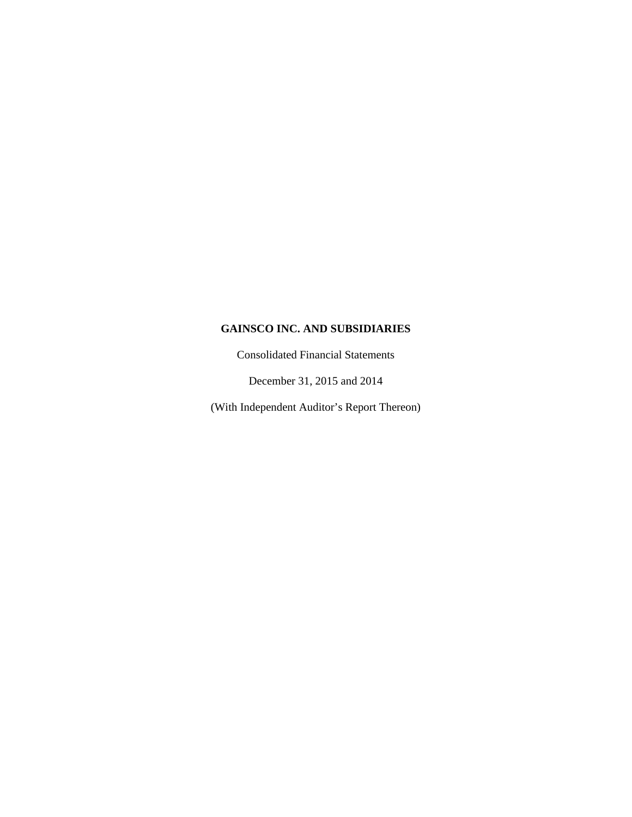Consolidated Financial Statements

December 31, 2015 and 2014

(With Independent Auditor's Report Thereon)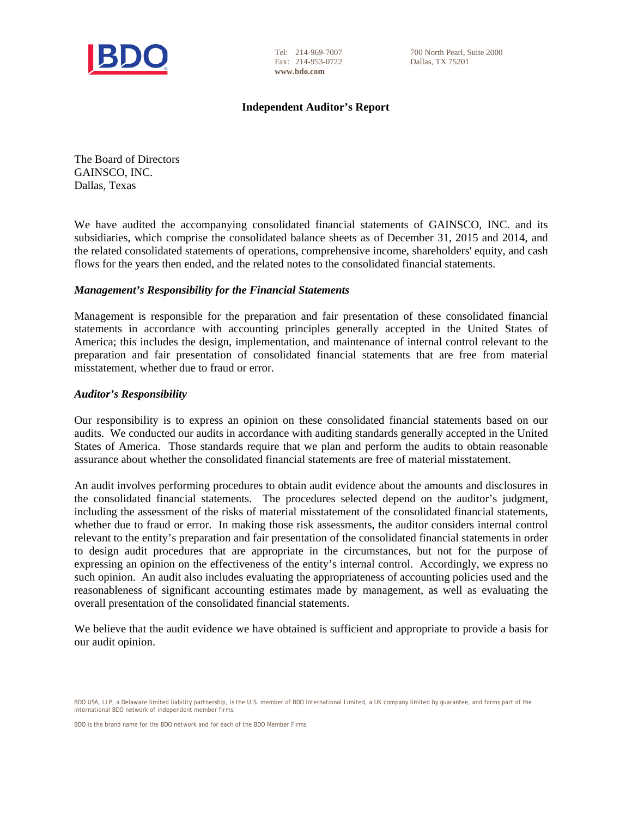

Tel: 214-969-7007 Fax: 214-953-0722 **www.bdo.com**

700 North Pearl, Suite 2000 Dallas, TX 75201

# **Independent Auditor's Report**

The Board of Directors GAINSCO, INC. Dallas, Texas

We have audited the accompanying consolidated financial statements of GAINSCO, INC. and its subsidiaries, which comprise the consolidated balance sheets as of December 31, 2015 and 2014, and the related consolidated statements of operations, comprehensive income, shareholders' equity, and cash flows for the years then ended, and the related notes to the consolidated financial statements.

# *Management's Responsibility for the Financial Statements*

Management is responsible for the preparation and fair presentation of these consolidated financial statements in accordance with accounting principles generally accepted in the United States of America; this includes the design, implementation, and maintenance of internal control relevant to the preparation and fair presentation of consolidated financial statements that are free from material misstatement, whether due to fraud or error.

# *Auditor's Responsibility*

Our responsibility is to express an opinion on these consolidated financial statements based on our audits. We conducted our audits in accordance with auditing standards generally accepted in the United States of America. Those standards require that we plan and perform the audits to obtain reasonable assurance about whether the consolidated financial statements are free of material misstatement.

An audit involves performing procedures to obtain audit evidence about the amounts and disclosures in the consolidated financial statements. The procedures selected depend on the auditor's judgment, including the assessment of the risks of material misstatement of the consolidated financial statements, whether due to fraud or error. In making those risk assessments, the auditor considers internal control relevant to the entity's preparation and fair presentation of the consolidated financial statements in order to design audit procedures that are appropriate in the circumstances, but not for the purpose of expressing an opinion on the effectiveness of the entity's internal control. Accordingly, we express no such opinion. An audit also includes evaluating the appropriateness of accounting policies used and the reasonableness of significant accounting estimates made by management, as well as evaluating the overall presentation of the consolidated financial statements.

We believe that the audit evidence we have obtained is sufficient and appropriate to provide a basis for our audit opinion.

BDO USA, LLP, a Delaware limited liability partnership, is the U.S. member of BDO International Limited, a UK company limited by guarantee, and forms part of the international BDO network of independent member firms.

BDO is the brand name for the BDO network and for each of the BDO Member Firms.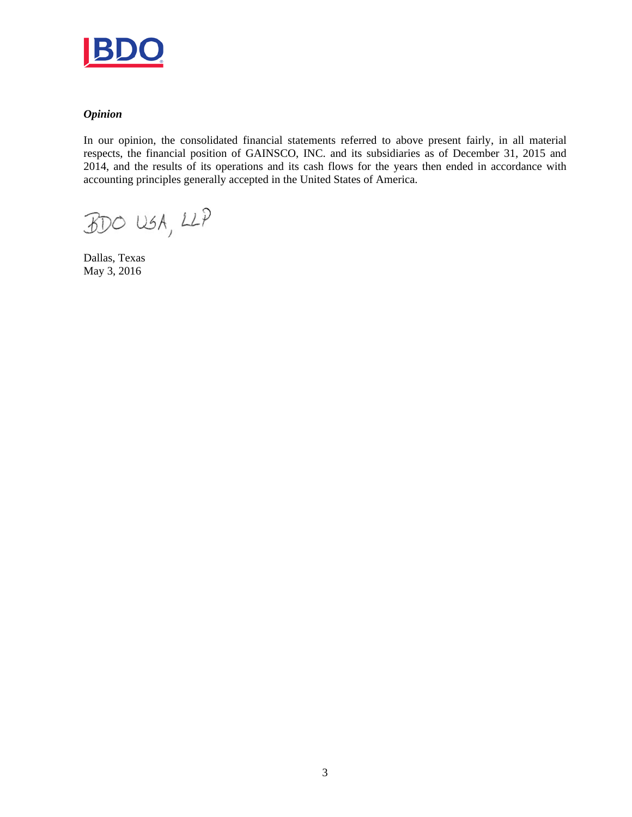

# *Opinion*

In our opinion, the consolidated financial statements referred to above present fairly, in all material respects, the financial position of GAINSCO, INC. and its subsidiaries as of December 31, 2015 and 2014, and the results of its operations and its cash flows for the years then ended in accordance with accounting principles generally accepted in the United States of America.

 $BDO USA, LLP$ 

Dallas, Texas May 3, 2016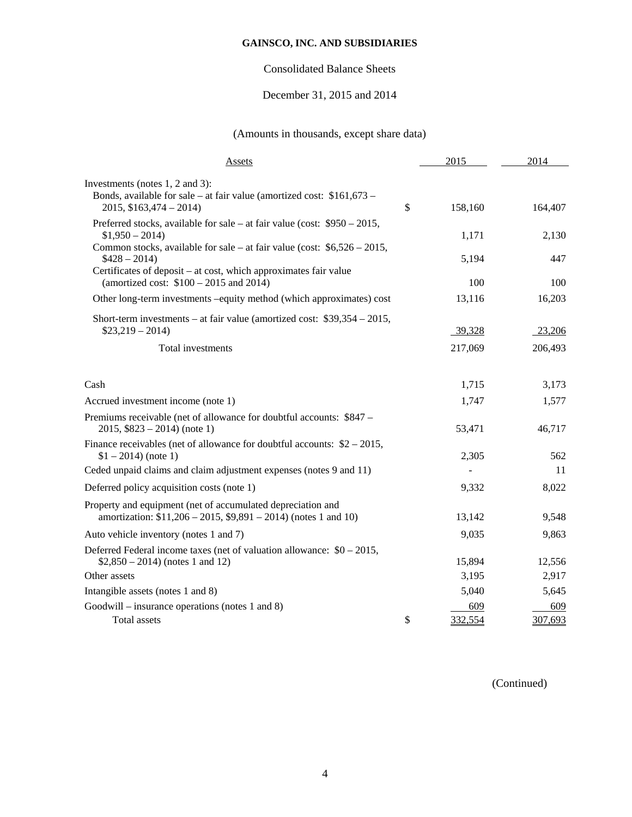# Consolidated Balance Sheets

# December 31, 2015 and 2014

# (Amounts in thousands, except share data)

| Assets                                                                                                                                                                                                       | 2015          | 2014    |
|--------------------------------------------------------------------------------------------------------------------------------------------------------------------------------------------------------------|---------------|---------|
| Investments (notes 1, 2 and 3):<br>Bonds, available for sale – at fair value (amortized cost: $$161,673$ –<br>$2015, $163,474 - 2014$                                                                        | \$<br>158,160 | 164,407 |
| Preferred stocks, available for sale – at fair value (cost: $$950 - 2015$ ,<br>$$1,950 - 2014)$                                                                                                              | 1,171         | 2,130   |
| Common stocks, available for sale – at fair value (cost: $$6,526 - 2015$ ,<br>$$428 - 2014$$<br>Certificates of deposit – at cost, which approximates fair value<br>(amortized cost: $$100 - 2015$ and 2014) | 5,194         | 447     |
|                                                                                                                                                                                                              | 100           | 100     |
| Other long-term investments -equity method (which approximates) cost                                                                                                                                         | 13,116        | 16,203  |
| Short-term investments – at fair value (amortized cost: $$39,354 - 2015$ ,<br>$$23,219-2014)$                                                                                                                | 39,328        | 23,206  |
| Total investments                                                                                                                                                                                            | 217,069       | 206,493 |
| Cash                                                                                                                                                                                                         | 1,715         | 3,173   |
| Accrued investment income (note 1)                                                                                                                                                                           | 1,747         | 1,577   |
| Premiums receivable (net of allowance for doubtful accounts: \$847 –<br>$2015, $823 - 2014$ (note 1)                                                                                                         | 53,471        | 46,717  |
| Finance receivables (net of allowance for doubtful accounts: $$2 - 2015$ ,<br>$$1 - 2014$ ) (note 1)                                                                                                         | 2,305         | 562     |
| Ceded unpaid claims and claim adjustment expenses (notes 9 and 11)                                                                                                                                           |               | 11      |
| Deferred policy acquisition costs (note 1)                                                                                                                                                                   | 9,332         | 8,022   |
| Property and equipment (net of accumulated depreciation and<br>amortization: $$11,206 - 2015, $9,891 - 2014$ (notes 1 and 10)                                                                                | 13,142        | 9,548   |
| Auto vehicle inventory (notes 1 and 7)                                                                                                                                                                       | 9,035         | 9,863   |
| Deferred Federal income taxes (net of valuation allowance: $$0 - 2015$ ,<br>$$2,850 - 2014$ (notes 1 and 12)                                                                                                 | 15,894        | 12,556  |
| Other assets                                                                                                                                                                                                 | 3,195         | 2,917   |
| Intangible assets (notes 1 and 8)                                                                                                                                                                            | 5,040         | 5,645   |
| Goodwill – insurance operations (notes 1 and 8)                                                                                                                                                              | 609           | 609     |
| <b>Total</b> assets                                                                                                                                                                                          | \$<br>332,554 | 307,693 |

(Continued)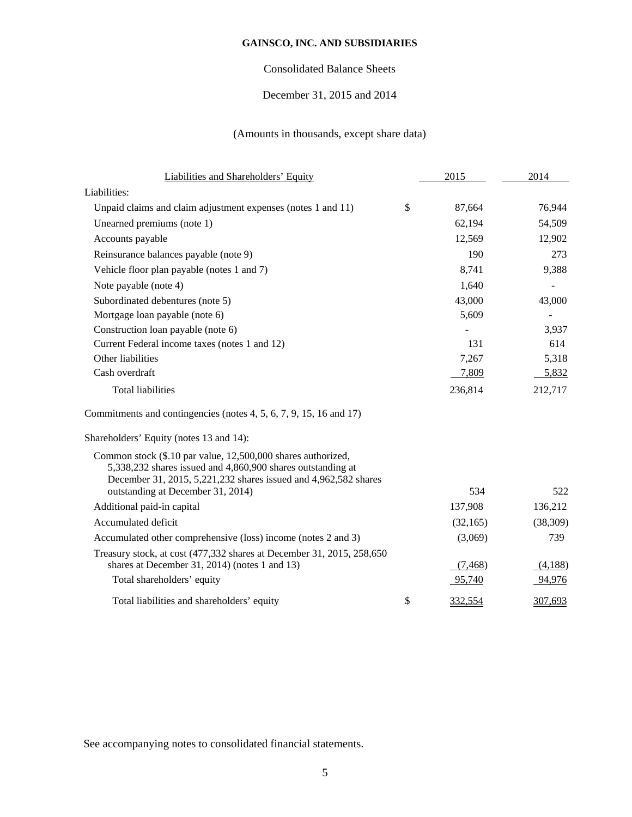# Consolidated Balance Sheets

# December 31, 2015 and 2014

# (Amounts in thousands, except share data)

| Liabilities and Shareholders' Equity                                                                                                                                                                                                | 2015          | 2014      |
|-------------------------------------------------------------------------------------------------------------------------------------------------------------------------------------------------------------------------------------|---------------|-----------|
| Liabilities:                                                                                                                                                                                                                        |               |           |
| Unpaid claims and claim adjustment expenses (notes 1 and 11)                                                                                                                                                                        | \$<br>87,664  | 76,944    |
| Unearned premiums (note 1)                                                                                                                                                                                                          | 62,194        | 54,509    |
| Accounts payable                                                                                                                                                                                                                    | 12,569        | 12,902    |
| Reinsurance balances payable (note 9)                                                                                                                                                                                               | 190           | 273       |
| Vehicle floor plan payable (notes 1 and 7)                                                                                                                                                                                          | 8,741         | 9,388     |
| Note payable (note 4)                                                                                                                                                                                                               | 1,640         |           |
| Subordinated debentures (note 5)                                                                                                                                                                                                    | 43,000        | 43,000    |
| Mortgage loan payable (note 6)                                                                                                                                                                                                      | 5,609         |           |
| Construction loan payable (note 6)                                                                                                                                                                                                  |               | 3,937     |
| Current Federal income taxes (notes 1 and 12)                                                                                                                                                                                       | 131           | 614       |
| Other liabilities                                                                                                                                                                                                                   | 7,267         | 5,318     |
| Cash overdraft                                                                                                                                                                                                                      | 7,809         | 5,832     |
| <b>Total liabilities</b>                                                                                                                                                                                                            | 236,814       | 212,717   |
| Commitments and contingencies (notes 4, 5, 6, 7, 9, 15, 16 and 17)                                                                                                                                                                  |               |           |
| Shareholders' Equity (notes 13 and 14):                                                                                                                                                                                             |               |           |
| Common stock (\$.10 par value, 12,500,000 shares authorized,<br>5,338,232 shares issued and 4,860,900 shares outstanding at<br>December 31, 2015, 5,221,232 shares issued and 4,962,582 shares<br>outstanding at December 31, 2014) | 534           | 522       |
| Additional paid-in capital                                                                                                                                                                                                          | 137,908       | 136,212   |
| Accumulated deficit                                                                                                                                                                                                                 | (32, 165)     | (38, 309) |
| Accumulated other comprehensive (loss) income (notes 2 and 3)                                                                                                                                                                       | (3,069)       | 739       |
| Treasury stock, at cost (477,332 shares at December 31, 2015, 258,650<br>shares at December 31, 2014) (notes 1 and 13)                                                                                                              | (7, 468)      | (4,188)   |
| Total shareholders' equity                                                                                                                                                                                                          | 95,740        | 94,976    |
| Total liabilities and shareholders' equity                                                                                                                                                                                          | \$<br>332,554 | 307,693   |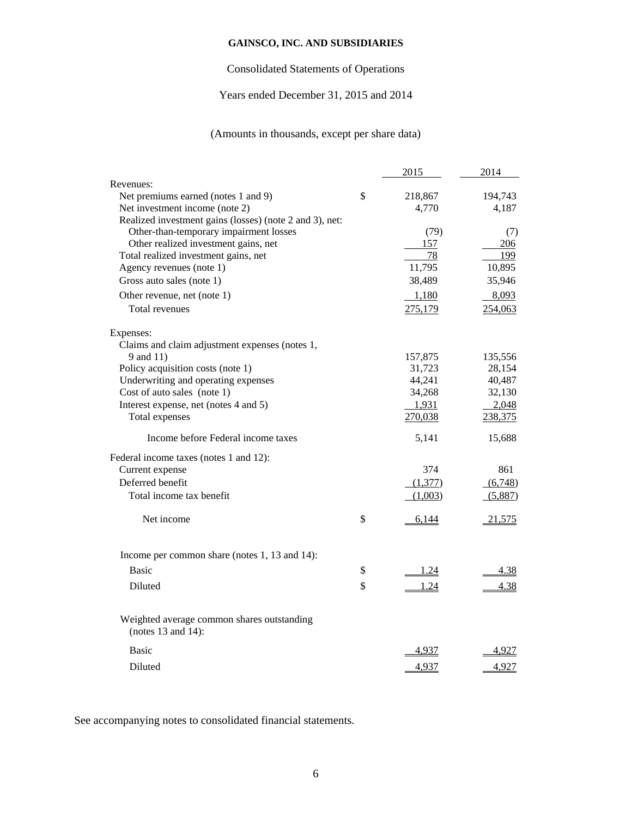# Consolidated Statements of Operations

# Years ended December 31, 2015 and 2014

# (Amounts in thousands, except per share data)

|                                                                       | 2015              | 2014          |
|-----------------------------------------------------------------------|-------------------|---------------|
| Revenues:                                                             |                   |               |
| Net premiums earned (notes 1 and 9)                                   | \$<br>218,867     | 194,743       |
| Net investment income (note 2)                                        | 4,770             | 4,187         |
| Realized investment gains (losses) (note 2 and 3), net:               |                   |               |
| Other-than-temporary impairment losses                                | (79)              | (7)           |
| Other realized investment gains, net                                  | 157               | 206           |
| Total realized investment gains, net                                  | 78<br>11,795      | 199           |
| Agency revenues (note 1)                                              |                   | 10,895        |
| Gross auto sales (note 1)                                             | 38,489            | 35,946        |
| Other revenue, net (note 1)                                           | 1,180             | 8,093         |
| Total revenues                                                        | 275,179           | 254,063       |
| Expenses:                                                             |                   |               |
| Claims and claim adjustment expenses (notes 1,                        |                   |               |
| 9 and 11)                                                             | 157,875           | 135,556       |
| Policy acquisition costs (note 1)                                     | 31,723            | 28,154        |
| Underwriting and operating expenses                                   | 44,241            | 40,487        |
| Cost of auto sales (note 1)                                           | 34,268            | 32,130        |
| Interest expense, net (notes 4 and 5)                                 | 1,931             | 2,048         |
| Total expenses                                                        | 270,038           | 238,375       |
| Income before Federal income taxes                                    | 5,141             | 15,688        |
| Federal income taxes (notes 1 and 12):                                |                   |               |
| Current expense                                                       | 374               | 861           |
| Deferred benefit                                                      | (1,377)           | (6,748)       |
| Total income tax benefit                                              | (1,003)           | (5,887)       |
| Net income                                                            | \$<br>6,144       | <u>21,575</u> |
| Income per common share (notes 1, 13 and 14):                         |                   |               |
| <b>Basic</b>                                                          | \$<br><u>1.24</u> | 4.38          |
| Diluted                                                               | \$<br>1.24        | 4.38          |
|                                                                       |                   |               |
| Weighted average common shares outstanding<br>(notes $13$ and $14$ ): |                   |               |
| <b>Basic</b>                                                          | <u>4.937</u>      | 4,927         |
| Diluted                                                               | 4,937             | 4,927         |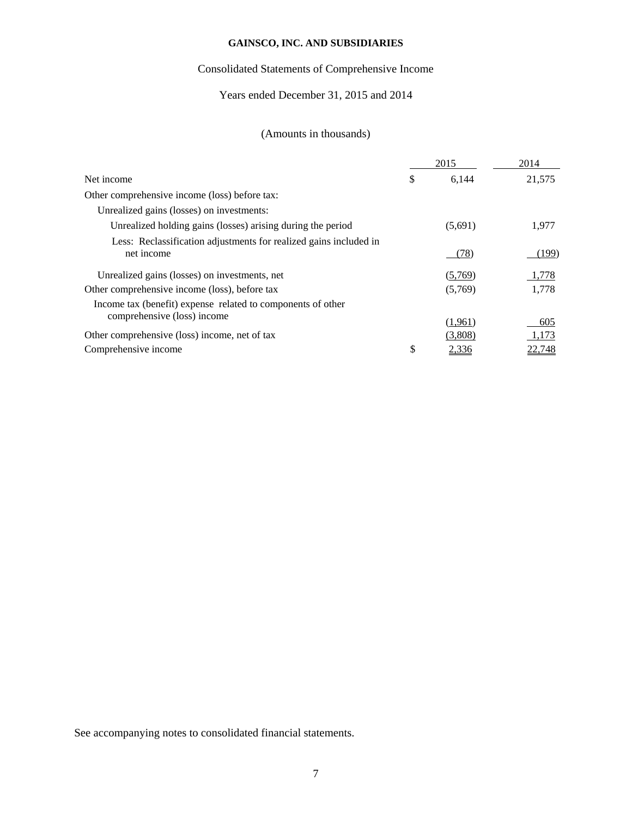# Consolidated Statements of Comprehensive Income

# Years ended December 31, 2015 and 2014

# (Amounts in thousands)

|                                                                                 | 2015        | 2014          |
|---------------------------------------------------------------------------------|-------------|---------------|
| Net income                                                                      | \$<br>6,144 | 21,575        |
| Other comprehensive income (loss) before tax:                                   |             |               |
| Unrealized gains (losses) on investments:                                       |             |               |
| Unrealized holding gains (losses) arising during the period                     | (5,691)     | 1,977         |
| Less: Reclassification adjustments for realized gains included in<br>net income | (78)        | (199)         |
| Unrealized gains (losses) on investments, net                                   | (5,769)     | 1,778         |
| Other comprehensive income (loss), before tax                                   | (5,769)     | 1,778         |
| Income tax (benefit) expense related to components of other                     |             |               |
| comprehensive (loss) income                                                     | (1,961)     | 605           |
| Other comprehensive (loss) income, net of tax                                   | (3,808)     | 1,173         |
| Comprehensive income                                                            | \$<br>2,336 | <u>22.748</u> |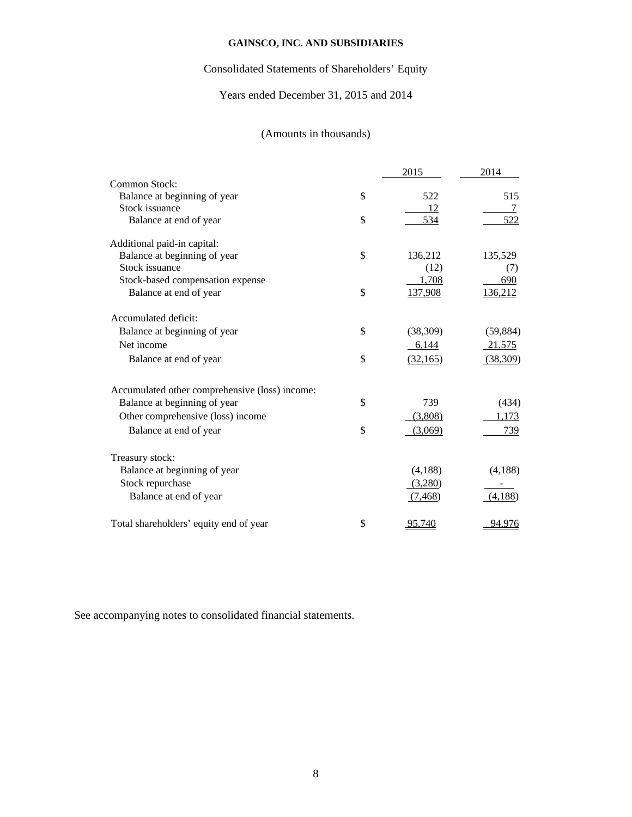# Consolidated Statements of Shareholders' Equity

# Years ended December 31, 2015 and 2014

# (Amounts in thousands)

|                                                | 2015            | 2014      |
|------------------------------------------------|-----------------|-----------|
| Common Stock:                                  |                 |           |
| Balance at beginning of year                   | \$<br>522       | 515       |
| Stock issuance                                 | 12              | 7         |
| Balance at end of year                         | \$<br>534       | 522       |
| Additional paid-in capital:                    |                 |           |
| Balance at beginning of year                   | \$<br>136,212   | 135,529   |
| Stock issuance                                 | (12)            | (7)       |
| Stock-based compensation expense               | 1,708           | 690       |
| Balance at end of year                         | \$<br>137,908   | 136,212   |
| Accumulated deficit:                           |                 |           |
| Balance at beginning of year                   | \$<br>(38, 309) | (59, 884) |
| Net income                                     | 6,144           | 21,575    |
| Balance at end of year                         | \$<br>(32,165)  | (38,309)  |
| Accumulated other comprehensive (loss) income: |                 |           |
| Balance at beginning of year                   | \$<br>739       | (434)     |
| Other comprehensive (loss) income              | (3,808)         | 1,173     |
| Balance at end of year                         | \$<br>(3,069)   | 739       |
| Treasury stock:                                |                 |           |
| Balance at beginning of year                   | (4,188)         | (4,188)   |
| Stock repurchase                               | (3,280)         |           |
| Balance at end of year                         | (7,468)         | (4,188)   |
| Total shareholders' equity end of year         | \$<br>95,740    | 94,976    |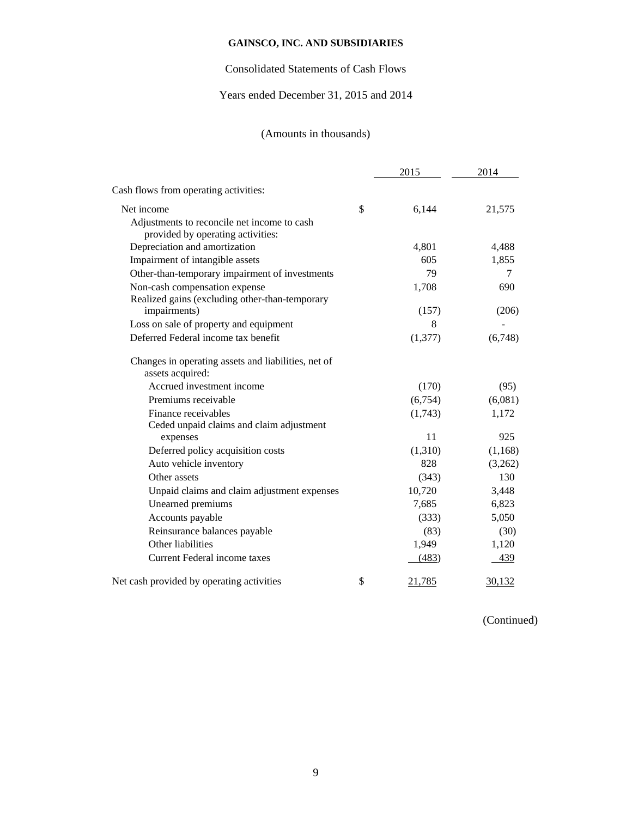# Consolidated Statements of Cash Flows

# Years ended December 31, 2015 and 2014

# (Amounts in thousands)

|                                                                                  | 2015         | 2014    |
|----------------------------------------------------------------------------------|--------------|---------|
| Cash flows from operating activities:                                            |              |         |
| Net income                                                                       | \$<br>6,144  | 21,575  |
| Adjustments to reconcile net income to cash<br>provided by operating activities: |              |         |
| Depreciation and amortization                                                    | 4,801        | 4,488   |
| Impairment of intangible assets                                                  | 605          | 1,855   |
| Other-than-temporary impairment of investments                                   | 79           | 7       |
| Non-cash compensation expense<br>Realized gains (excluding other-than-temporary  | 1,708        | 690     |
| impairments)                                                                     | (157)        | (206)   |
| Loss on sale of property and equipment                                           | 8            |         |
| Deferred Federal income tax benefit                                              | (1,377)      | (6,748) |
| Changes in operating assets and liabilities, net of<br>assets acquired:          |              |         |
| Accrued investment income                                                        | (170)        | (95)    |
| Premiums receivable                                                              | (6,754)      | (6,081) |
| Finance receivables                                                              | (1,743)      | 1,172   |
| Ceded unpaid claims and claim adjustment                                         |              |         |
| expenses                                                                         | 11           | 925     |
| Deferred policy acquisition costs                                                | (1,310)      | (1,168) |
| Auto vehicle inventory                                                           | 828          | (3,262) |
| Other assets                                                                     | (343)        | 130     |
| Unpaid claims and claim adjustment expenses                                      | 10,720       | 3,448   |
| Unearned premiums                                                                | 7,685        | 6,823   |
| Accounts payable                                                                 | (333)        | 5,050   |
| Reinsurance balances payable                                                     | (83)         | (30)    |
| Other liabilities                                                                | 1,949        | 1,120   |
| Current Federal income taxes                                                     | (483)        | 439     |
| Net cash provided by operating activities                                        | \$<br>21,785 | 30,132  |

(Continued)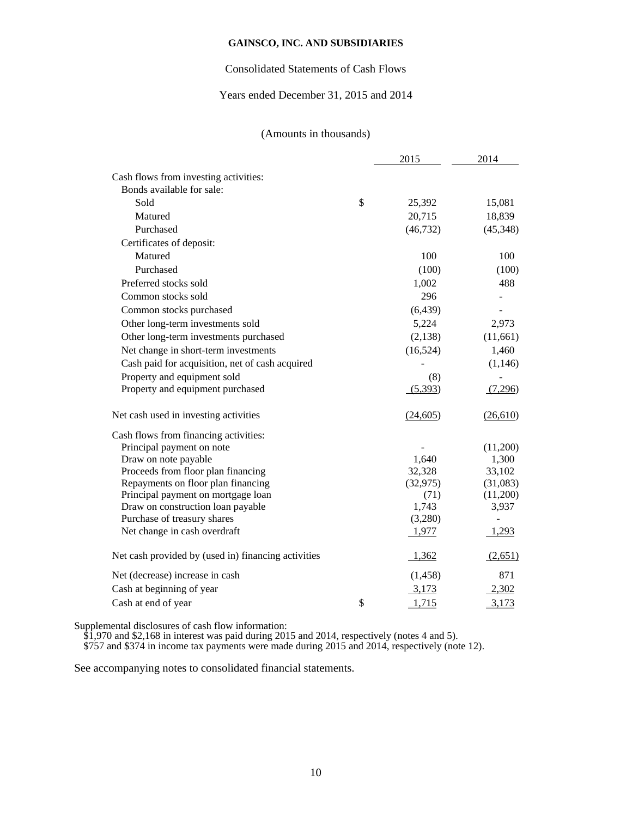# Consolidated Statements of Cash Flows

# Years ended December 31, 2015 and 2014

# (Amounts in thousands)

|                                                     | 2015         | 2014                     |
|-----------------------------------------------------|--------------|--------------------------|
| Cash flows from investing activities:               |              |                          |
| Bonds available for sale:                           |              |                          |
| Sold                                                | \$<br>25,392 | 15,081                   |
| Matured                                             | 20,715       | 18,839                   |
| Purchased                                           | (46, 732)    | (45, 348)                |
| Certificates of deposit:                            |              |                          |
| Matured                                             | 100          | 100                      |
| Purchased                                           | (100)        | (100)                    |
| Preferred stocks sold                               | 1,002        | 488                      |
| Common stocks sold                                  | 296          |                          |
| Common stocks purchased                             | (6, 439)     |                          |
| Other long-term investments sold                    | 5,224        | 2,973                    |
| Other long-term investments purchased               | (2, 138)     | (11,661)                 |
| Net change in short-term investments                | (16,524)     | 1,460                    |
| Cash paid for acquisition, net of cash acquired     |              | (1,146)                  |
| Property and equipment sold                         | (8)          |                          |
| Property and equipment purchased                    | (5,393)      | (7,296)                  |
| Net cash used in investing activities               | (24,605)     | (26,610)                 |
| Cash flows from financing activities:               |              |                          |
| Principal payment on note                           |              | (11,200)                 |
| Draw on note payable                                | 1,640        | 1,300                    |
| Proceeds from floor plan financing                  | 32,328       | 33,102                   |
| Repayments on floor plan financing                  | (32, 975)    | (31,083)                 |
| Principal payment on mortgage loan                  | (71)         | (11,200)                 |
| Draw on construction loan payable                   | 1,743        | 3,937                    |
| Purchase of treasury shares                         | (3,280)      | $\overline{\phantom{m}}$ |
| Net change in cash overdraft                        | 1,977        | 1,293                    |
| Net cash provided by (used in) financing activities | 1,362        | (2,651)                  |
| Net (decrease) increase in cash                     | (1, 458)     | 871                      |
| Cash at beginning of year                           | 3,173        | 2,302                    |
| Cash at end of year                                 | \$<br>1,715  | 3,173                    |

Supplemental disclosures of cash flow information:

\$1,970 and \$2,168 in interest was paid during 2015 and 2014, respectively (notes 4 and 5).

\$757 and \$374 in income tax payments were made during 2015 and 2014, respectively (note 12).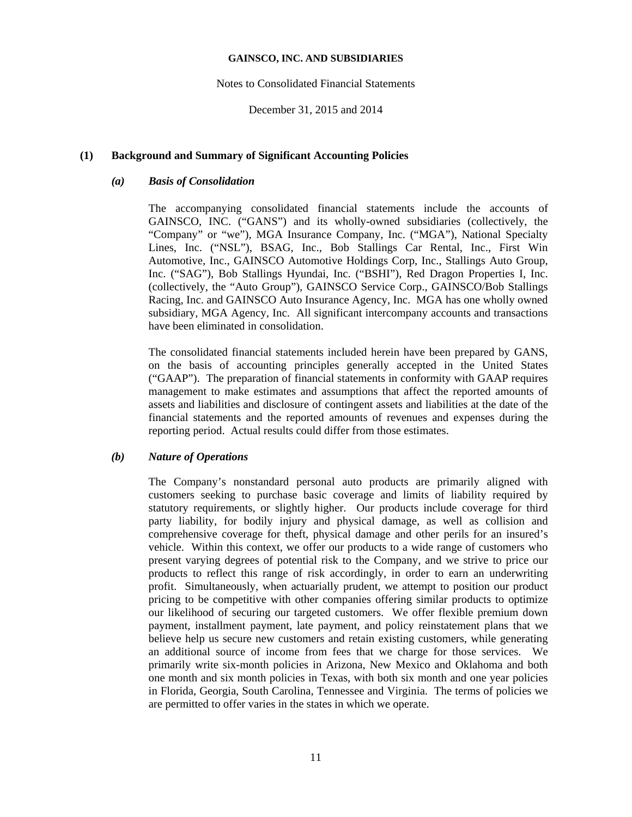### Notes to Consolidated Financial Statements

December 31, 2015 and 2014

## **(1) Background and Summary of Significant Accounting Policies**

# *(a) Basis of Consolidation*

The accompanying consolidated financial statements include the accounts of GAINSCO, INC. ("GANS") and its wholly-owned subsidiaries (collectively, the "Company" or "we"), MGA Insurance Company, Inc. ("MGA"), National Specialty Lines, Inc. ("NSL"), BSAG, Inc., Bob Stallings Car Rental, Inc., First Win Automotive, Inc., GAINSCO Automotive Holdings Corp, Inc., Stallings Auto Group, Inc. ("SAG"), Bob Stallings Hyundai, Inc. ("BSHI"), Red Dragon Properties I, Inc. (collectively, the "Auto Group"), GAINSCO Service Corp., GAINSCO/Bob Stallings Racing, Inc. and GAINSCO Auto Insurance Agency, Inc. MGA has one wholly owned subsidiary, MGA Agency, Inc. All significant intercompany accounts and transactions have been eliminated in consolidation.

The consolidated financial statements included herein have been prepared by GANS, on the basis of accounting principles generally accepted in the United States ("GAAP"). The preparation of financial statements in conformity with GAAP requires management to make estimates and assumptions that affect the reported amounts of assets and liabilities and disclosure of contingent assets and liabilities at the date of the financial statements and the reported amounts of revenues and expenses during the reporting period. Actual results could differ from those estimates.

# *(b) Nature of Operations*

The Company's nonstandard personal auto products are primarily aligned with customers seeking to purchase basic coverage and limits of liability required by statutory requirements, or slightly higher. Our products include coverage for third party liability, for bodily injury and physical damage, as well as collision and comprehensive coverage for theft, physical damage and other perils for an insured's vehicle. Within this context, we offer our products to a wide range of customers who present varying degrees of potential risk to the Company, and we strive to price our products to reflect this range of risk accordingly, in order to earn an underwriting profit. Simultaneously, when actuarially prudent, we attempt to position our product pricing to be competitive with other companies offering similar products to optimize our likelihood of securing our targeted customers. We offer flexible premium down payment, installment payment, late payment, and policy reinstatement plans that we believe help us secure new customers and retain existing customers, while generating an additional source of income from fees that we charge for those services. We primarily write six-month policies in Arizona, New Mexico and Oklahoma and both one month and six month policies in Texas, with both six month and one year policies in Florida, Georgia, South Carolina, Tennessee and Virginia. The terms of policies we are permitted to offer varies in the states in which we operate.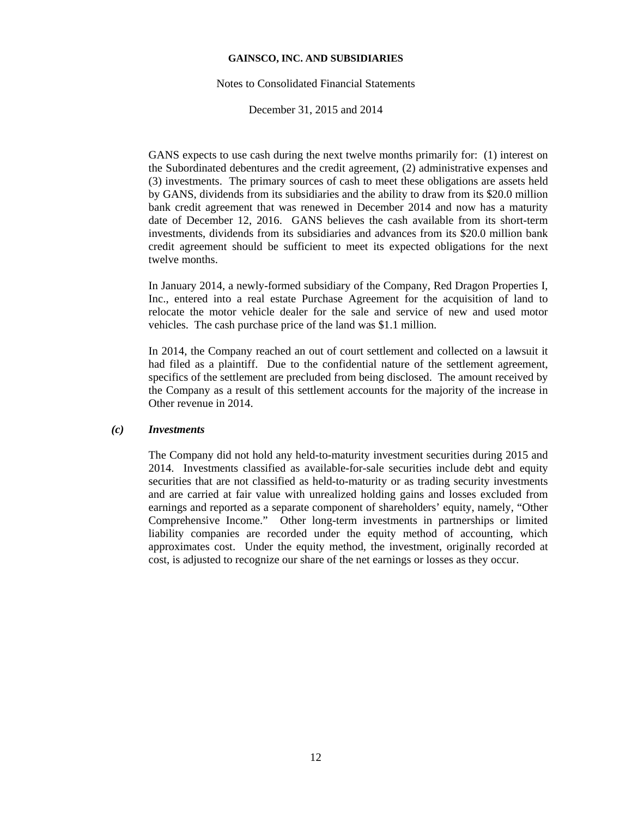#### Notes to Consolidated Financial Statements

December 31, 2015 and 2014

GANS expects to use cash during the next twelve months primarily for: (1) interest on the Subordinated debentures and the credit agreement, (2) administrative expenses and (3) investments. The primary sources of cash to meet these obligations are assets held by GANS, dividends from its subsidiaries and the ability to draw from its \$20.0 million bank credit agreement that was renewed in December 2014 and now has a maturity date of December 12, 2016. GANS believes the cash available from its short-term investments, dividends from its subsidiaries and advances from its \$20.0 million bank credit agreement should be sufficient to meet its expected obligations for the next twelve months.

In January 2014, a newly-formed subsidiary of the Company, Red Dragon Properties I, Inc., entered into a real estate Purchase Agreement for the acquisition of land to relocate the motor vehicle dealer for the sale and service of new and used motor vehicles. The cash purchase price of the land was \$1.1 million.

In 2014, the Company reached an out of court settlement and collected on a lawsuit it had filed as a plaintiff. Due to the confidential nature of the settlement agreement, specifics of the settlement are precluded from being disclosed. The amount received by the Company as a result of this settlement accounts for the majority of the increase in Other revenue in 2014.

## *(c) Investments*

The Company did not hold any held-to-maturity investment securities during 2015 and 2014. Investments classified as available-for-sale securities include debt and equity securities that are not classified as held-to-maturity or as trading security investments and are carried at fair value with unrealized holding gains and losses excluded from earnings and reported as a separate component of shareholders' equity, namely, "Other Comprehensive Income." Other long-term investments in partnerships or limited liability companies are recorded under the equity method of accounting, which approximates cost. Under the equity method, the investment, originally recorded at cost, is adjusted to recognize our share of the net earnings or losses as they occur.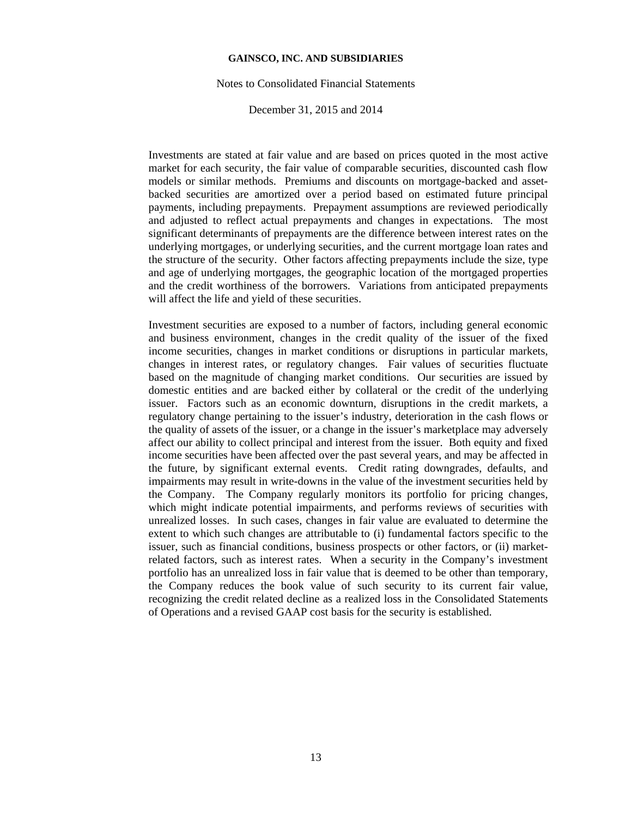#### Notes to Consolidated Financial Statements

December 31, 2015 and 2014

Investments are stated at fair value and are based on prices quoted in the most active market for each security, the fair value of comparable securities, discounted cash flow models or similar methods. Premiums and discounts on mortgage-backed and assetbacked securities are amortized over a period based on estimated future principal payments, including prepayments. Prepayment assumptions are reviewed periodically and adjusted to reflect actual prepayments and changes in expectations. The most significant determinants of prepayments are the difference between interest rates on the underlying mortgages, or underlying securities, and the current mortgage loan rates and the structure of the security. Other factors affecting prepayments include the size, type and age of underlying mortgages, the geographic location of the mortgaged properties and the credit worthiness of the borrowers. Variations from anticipated prepayments will affect the life and yield of these securities.

Investment securities are exposed to a number of factors, including general economic and business environment, changes in the credit quality of the issuer of the fixed income securities, changes in market conditions or disruptions in particular markets, changes in interest rates, or regulatory changes. Fair values of securities fluctuate based on the magnitude of changing market conditions. Our securities are issued by domestic entities and are backed either by collateral or the credit of the underlying issuer. Factors such as an economic downturn, disruptions in the credit markets, a regulatory change pertaining to the issuer's industry, deterioration in the cash flows or the quality of assets of the issuer, or a change in the issuer's marketplace may adversely affect our ability to collect principal and interest from the issuer. Both equity and fixed income securities have been affected over the past several years, and may be affected in the future, by significant external events. Credit rating downgrades, defaults, and impairments may result in write-downs in the value of the investment securities held by the Company. The Company regularly monitors its portfolio for pricing changes, which might indicate potential impairments, and performs reviews of securities with unrealized losses. In such cases, changes in fair value are evaluated to determine the extent to which such changes are attributable to (i) fundamental factors specific to the issuer, such as financial conditions, business prospects or other factors, or (ii) marketrelated factors, such as interest rates. When a security in the Company's investment portfolio has an unrealized loss in fair value that is deemed to be other than temporary, the Company reduces the book value of such security to its current fair value, recognizing the credit related decline as a realized loss in the Consolidated Statements of Operations and a revised GAAP cost basis for the security is established.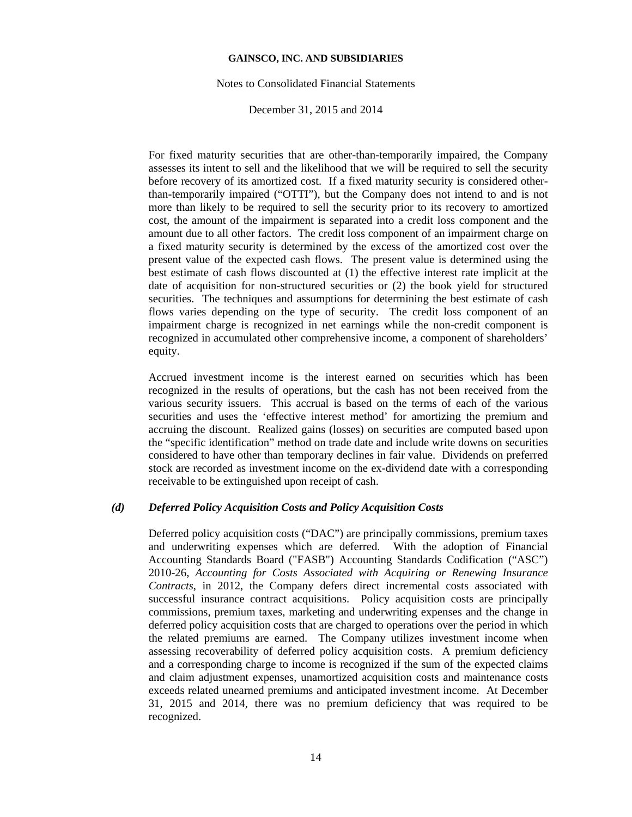#### Notes to Consolidated Financial Statements

December 31, 2015 and 2014

For fixed maturity securities that are other-than-temporarily impaired, the Company assesses its intent to sell and the likelihood that we will be required to sell the security before recovery of its amortized cost. If a fixed maturity security is considered otherthan-temporarily impaired ("OTTI"), but the Company does not intend to and is not more than likely to be required to sell the security prior to its recovery to amortized cost, the amount of the impairment is separated into a credit loss component and the amount due to all other factors. The credit loss component of an impairment charge on a fixed maturity security is determined by the excess of the amortized cost over the present value of the expected cash flows. The present value is determined using the best estimate of cash flows discounted at (1) the effective interest rate implicit at the date of acquisition for non-structured securities or (2) the book yield for structured securities. The techniques and assumptions for determining the best estimate of cash flows varies depending on the type of security. The credit loss component of an impairment charge is recognized in net earnings while the non-credit component is recognized in accumulated other comprehensive income, a component of shareholders' equity.

Accrued investment income is the interest earned on securities which has been recognized in the results of operations, but the cash has not been received from the various security issuers. This accrual is based on the terms of each of the various securities and uses the 'effective interest method' for amortizing the premium and accruing the discount. Realized gains (losses) on securities are computed based upon the "specific identification" method on trade date and include write downs on securities considered to have other than temporary declines in fair value. Dividends on preferred stock are recorded as investment income on the ex-dividend date with a corresponding receivable to be extinguished upon receipt of cash.

## *(d) Deferred Policy Acquisition Costs and Policy Acquisition Costs*

Deferred policy acquisition costs ("DAC") are principally commissions, premium taxes and underwriting expenses which are deferred. With the adoption of Financial Accounting Standards Board ("FASB") Accounting Standards Codification ("ASC") 2010-26, *Accounting for Costs Associated with Acquiring or Renewing Insurance Contracts*, in 2012, the Company defers direct incremental costs associated with successful insurance contract acquisitions. Policy acquisition costs are principally commissions, premium taxes, marketing and underwriting expenses and the change in deferred policy acquisition costs that are charged to operations over the period in which the related premiums are earned. The Company utilizes investment income when assessing recoverability of deferred policy acquisition costs. A premium deficiency and a corresponding charge to income is recognized if the sum of the expected claims and claim adjustment expenses, unamortized acquisition costs and maintenance costs exceeds related unearned premiums and anticipated investment income. At December 31, 2015 and 2014, there was no premium deficiency that was required to be recognized.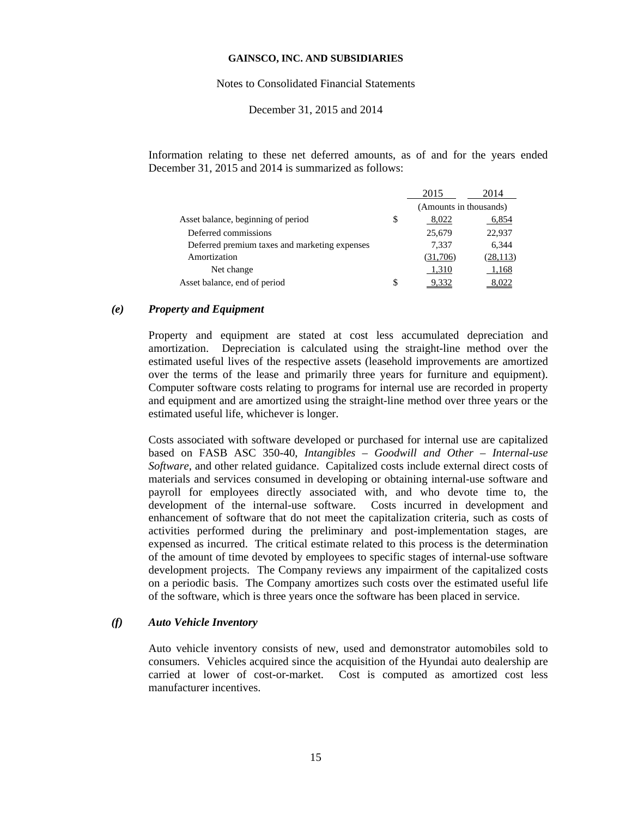#### Notes to Consolidated Financial Statements

## December 31, 2015 and 2014

Information relating to these net deferred amounts, as of and for the years ended December 31, 2015 and 2014 is summarized as follows:

|                                               | 2015                   | 2014      |
|-----------------------------------------------|------------------------|-----------|
|                                               | (Amounts in thousands) |           |
| Asset balance, beginning of period            | \$<br>8,022            | 6,854     |
| Deferred commissions                          | 25,679                 | 22,937    |
| Deferred premium taxes and marketing expenses | 7,337                  | 6,344     |
| Amortization                                  | (31,706)               | (28, 113) |
| Net change                                    | 1,310                  | 1,168     |
| Asset balance, end of period                  | \$                     |           |

#### *(e) Property and Equipment*

Property and equipment are stated at cost less accumulated depreciation and amortization. Depreciation is calculated using the straight-line method over the estimated useful lives of the respective assets (leasehold improvements are amortized over the terms of the lease and primarily three years for furniture and equipment). Computer software costs relating to programs for internal use are recorded in property and equipment and are amortized using the straight-line method over three years or the estimated useful life, whichever is longer.

Costs associated with software developed or purchased for internal use are capitalized based on FASB ASC 350-40, *Intangibles – Goodwill and Other – Internal-use Software*, and other related guidance. Capitalized costs include external direct costs of materials and services consumed in developing or obtaining internal-use software and payroll for employees directly associated with, and who devote time to, the development of the internal-use software. Costs incurred in development and enhancement of software that do not meet the capitalization criteria, such as costs of activities performed during the preliminary and post-implementation stages, are expensed as incurred. The critical estimate related to this process is the determination of the amount of time devoted by employees to specific stages of internal-use software development projects. The Company reviews any impairment of the capitalized costs on a periodic basis. The Company amortizes such costs over the estimated useful life of the software, which is three years once the software has been placed in service.

## *(f) Auto Vehicle Inventory*

Auto vehicle inventory consists of new, used and demonstrator automobiles sold to consumers. Vehicles acquired since the acquisition of the Hyundai auto dealership are carried at lower of cost-or-market. Cost is computed as amortized cost less manufacturer incentives.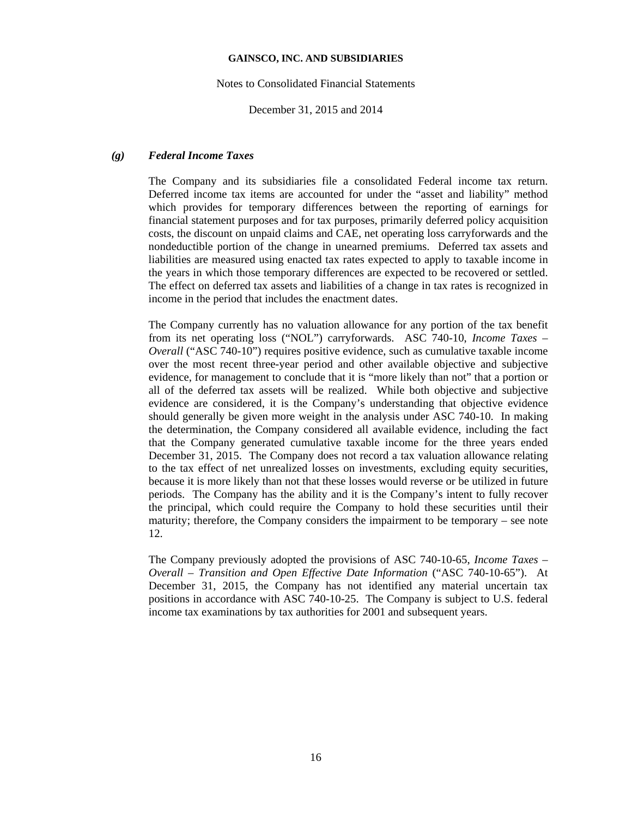#### Notes to Consolidated Financial Statements

December 31, 2015 and 2014

## *(g) Federal Income Taxes*

The Company and its subsidiaries file a consolidated Federal income tax return. Deferred income tax items are accounted for under the "asset and liability" method which provides for temporary differences between the reporting of earnings for financial statement purposes and for tax purposes, primarily deferred policy acquisition costs, the discount on unpaid claims and CAE, net operating loss carryforwards and the nondeductible portion of the change in unearned premiums. Deferred tax assets and liabilities are measured using enacted tax rates expected to apply to taxable income in the years in which those temporary differences are expected to be recovered or settled. The effect on deferred tax assets and liabilities of a change in tax rates is recognized in income in the period that includes the enactment dates.

The Company currently has no valuation allowance for any portion of the tax benefit from its net operating loss ("NOL") carryforwards. ASC 740-10, *Income Taxes – Overall* ("ASC 740-10") requires positive evidence, such as cumulative taxable income over the most recent three-year period and other available objective and subjective evidence, for management to conclude that it is "more likely than not" that a portion or all of the deferred tax assets will be realized. While both objective and subjective evidence are considered, it is the Company's understanding that objective evidence should generally be given more weight in the analysis under ASC 740-10. In making the determination, the Company considered all available evidence, including the fact that the Company generated cumulative taxable income for the three years ended December 31, 2015. The Company does not record a tax valuation allowance relating to the tax effect of net unrealized losses on investments, excluding equity securities, because it is more likely than not that these losses would reverse or be utilized in future periods. The Company has the ability and it is the Company's intent to fully recover the principal, which could require the Company to hold these securities until their maturity; therefore, the Company considers the impairment to be temporary – see note 12.

The Company previously adopted the provisions of ASC 740-10-65, *Income Taxes – Overall – Transition and Open Effective Date Information* ("ASC 740-10-65"). At December 31, 2015, the Company has not identified any material uncertain tax positions in accordance with ASC 740-10-25. The Company is subject to U.S. federal income tax examinations by tax authorities for 2001 and subsequent years.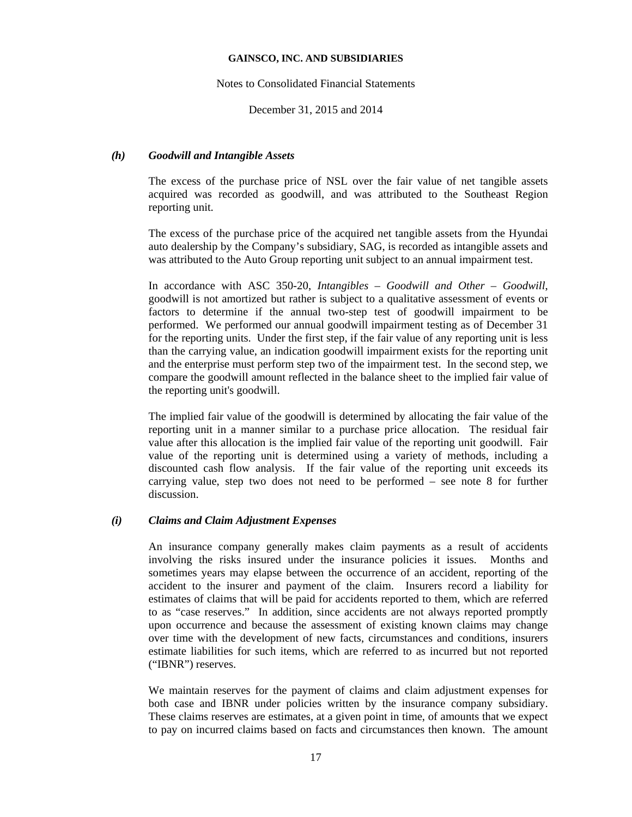### Notes to Consolidated Financial Statements

December 31, 2015 and 2014

## *(h) Goodwill and Intangible Assets*

The excess of the purchase price of NSL over the fair value of net tangible assets acquired was recorded as goodwill, and was attributed to the Southeast Region reporting unit.

The excess of the purchase price of the acquired net tangible assets from the Hyundai auto dealership by the Company's subsidiary, SAG, is recorded as intangible assets and was attributed to the Auto Group reporting unit subject to an annual impairment test.

In accordance with ASC 350-20, *Intangibles – Goodwill and Other – Goodwill*, goodwill is not amortized but rather is subject to a qualitative assessment of events or factors to determine if the annual two-step test of goodwill impairment to be performed. We performed our annual goodwill impairment testing as of December 31 for the reporting units. Under the first step, if the fair value of any reporting unit is less than the carrying value, an indication goodwill impairment exists for the reporting unit and the enterprise must perform step two of the impairment test. In the second step, we compare the goodwill amount reflected in the balance sheet to the implied fair value of the reporting unit's goodwill.

The implied fair value of the goodwill is determined by allocating the fair value of the reporting unit in a manner similar to a purchase price allocation. The residual fair value after this allocation is the implied fair value of the reporting unit goodwill. Fair value of the reporting unit is determined using a variety of methods, including a discounted cash flow analysis. If the fair value of the reporting unit exceeds its carrying value, step two does not need to be performed – see note 8 for further discussion.

## *(i) Claims and Claim Adjustment Expenses*

An insurance company generally makes claim payments as a result of accidents involving the risks insured under the insurance policies it issues. Months and sometimes years may elapse between the occurrence of an accident, reporting of the accident to the insurer and payment of the claim. Insurers record a liability for estimates of claims that will be paid for accidents reported to them, which are referred to as "case reserves." In addition, since accidents are not always reported promptly upon occurrence and because the assessment of existing known claims may change over time with the development of new facts, circumstances and conditions, insurers estimate liabilities for such items, which are referred to as incurred but not reported ("IBNR") reserves.

We maintain reserves for the payment of claims and claim adjustment expenses for both case and IBNR under policies written by the insurance company subsidiary. These claims reserves are estimates, at a given point in time, of amounts that we expect to pay on incurred claims based on facts and circumstances then known. The amount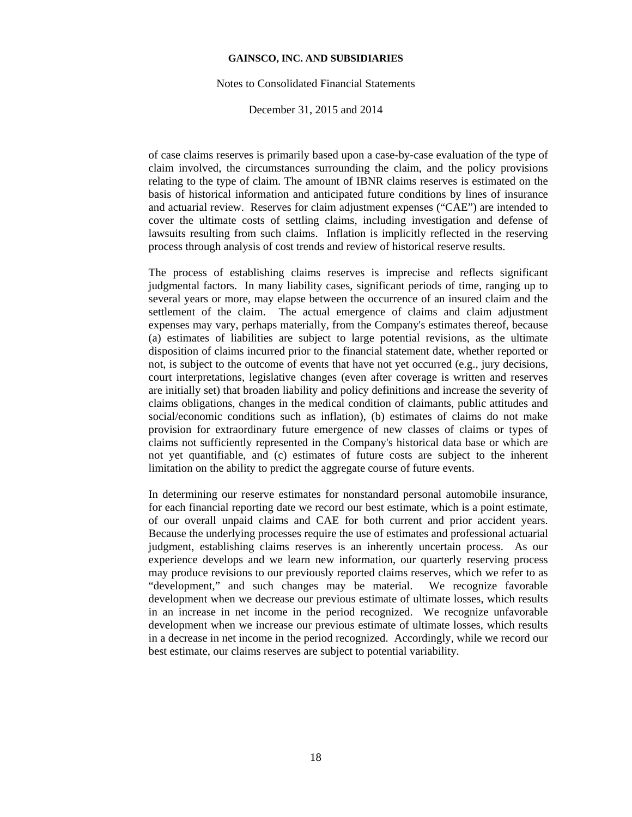#### Notes to Consolidated Financial Statements

December 31, 2015 and 2014

of case claims reserves is primarily based upon a case-by-case evaluation of the type of claim involved, the circumstances surrounding the claim, and the policy provisions relating to the type of claim. The amount of IBNR claims reserves is estimated on the basis of historical information and anticipated future conditions by lines of insurance and actuarial review. Reserves for claim adjustment expenses ("CAE") are intended to cover the ultimate costs of settling claims, including investigation and defense of lawsuits resulting from such claims. Inflation is implicitly reflected in the reserving process through analysis of cost trends and review of historical reserve results.

The process of establishing claims reserves is imprecise and reflects significant judgmental factors. In many liability cases, significant periods of time, ranging up to several years or more, may elapse between the occurrence of an insured claim and the settlement of the claim. The actual emergence of claims and claim adjustment expenses may vary, perhaps materially, from the Company's estimates thereof, because (a) estimates of liabilities are subject to large potential revisions, as the ultimate disposition of claims incurred prior to the financial statement date, whether reported or not, is subject to the outcome of events that have not yet occurred (e.g., jury decisions, court interpretations, legislative changes (even after coverage is written and reserves are initially set) that broaden liability and policy definitions and increase the severity of claims obligations, changes in the medical condition of claimants, public attitudes and social/economic conditions such as inflation), (b) estimates of claims do not make provision for extraordinary future emergence of new classes of claims or types of claims not sufficiently represented in the Company's historical data base or which are not yet quantifiable, and (c) estimates of future costs are subject to the inherent limitation on the ability to predict the aggregate course of future events.

In determining our reserve estimates for nonstandard personal automobile insurance, for each financial reporting date we record our best estimate, which is a point estimate, of our overall unpaid claims and CAE for both current and prior accident years. Because the underlying processes require the use of estimates and professional actuarial judgment, establishing claims reserves is an inherently uncertain process. As our experience develops and we learn new information, our quarterly reserving process may produce revisions to our previously reported claims reserves, which we refer to as "development," and such changes may be material. We recognize favorable development when we decrease our previous estimate of ultimate losses, which results in an increase in net income in the period recognized. We recognize unfavorable development when we increase our previous estimate of ultimate losses, which results in a decrease in net income in the period recognized. Accordingly, while we record our best estimate, our claims reserves are subject to potential variability.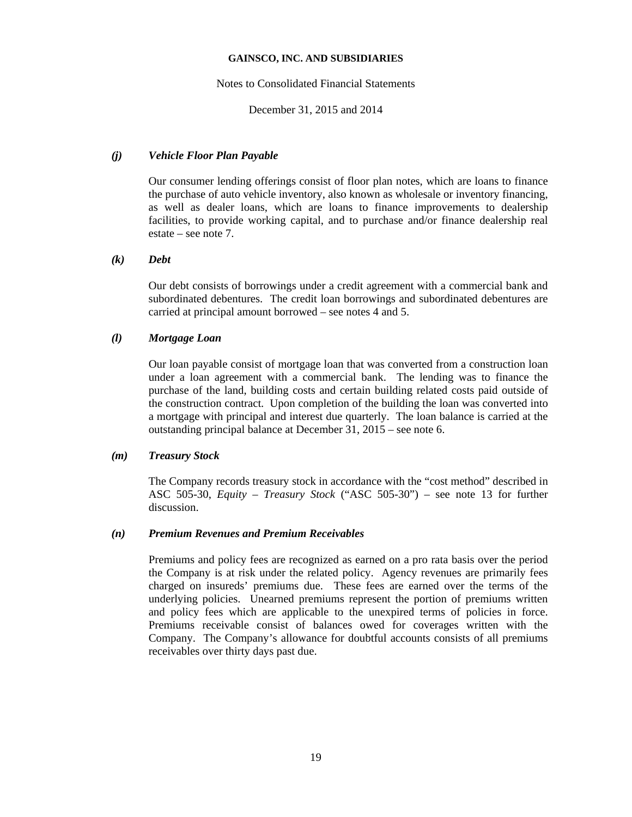### Notes to Consolidated Financial Statements

December 31, 2015 and 2014

## *(j) Vehicle Floor Plan Payable*

Our consumer lending offerings consist of floor plan notes, which are loans to finance the purchase of auto vehicle inventory, also known as wholesale or inventory financing, as well as dealer loans, which are loans to finance improvements to dealership facilities, to provide working capital, and to purchase and/or finance dealership real estate – see note 7.

## *(k) Debt*

Our debt consists of borrowings under a credit agreement with a commercial bank and subordinated debentures. The credit loan borrowings and subordinated debentures are carried at principal amount borrowed – see notes 4 and 5.

# *(l) Mortgage Loan*

Our loan payable consist of mortgage loan that was converted from a construction loan under a loan agreement with a commercial bank. The lending was to finance the purchase of the land, building costs and certain building related costs paid outside of the construction contract. Upon completion of the building the loan was converted into a mortgage with principal and interest due quarterly. The loan balance is carried at the outstanding principal balance at December 31, 2015 – see note 6.

## *(m) Treasury Stock*

The Company records treasury stock in accordance with the "cost method" described in ASC 505-30, *Equity – Treasury Stock* ("ASC 505-30") – see note 13 for further discussion.

## *(n) Premium Revenues and Premium Receivables*

Premiums and policy fees are recognized as earned on a pro rata basis over the period the Company is at risk under the related policy. Agency revenues are primarily fees charged on insureds' premiums due. These fees are earned over the terms of the underlying policies. Unearned premiums represent the portion of premiums written and policy fees which are applicable to the unexpired terms of policies in force. Premiums receivable consist of balances owed for coverages written with the Company. The Company's allowance for doubtful accounts consists of all premiums receivables over thirty days past due.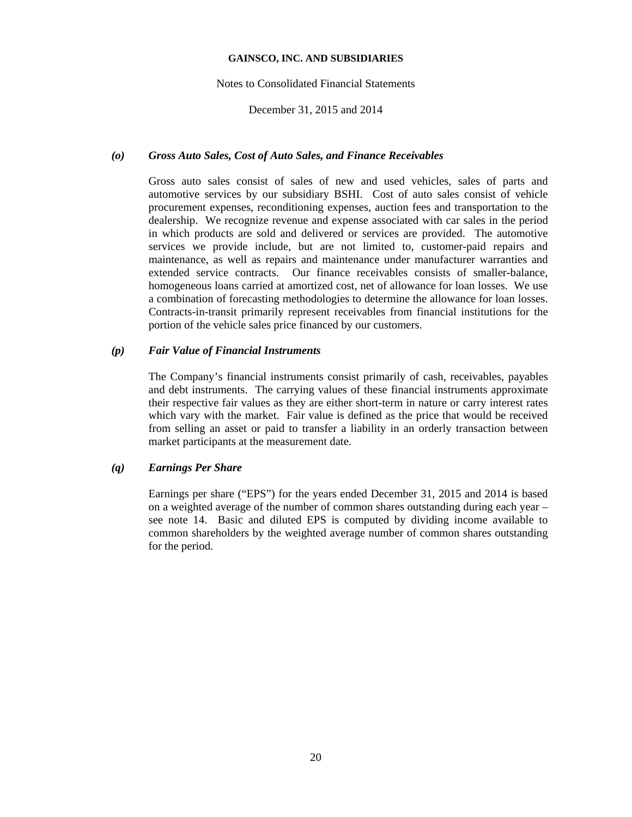### Notes to Consolidated Financial Statements

## December 31, 2015 and 2014

## *(o) Gross Auto Sales, Cost of Auto Sales, and Finance Receivables*

Gross auto sales consist of sales of new and used vehicles, sales of parts and automotive services by our subsidiary BSHI. Cost of auto sales consist of vehicle procurement expenses, reconditioning expenses, auction fees and transportation to the dealership. We recognize revenue and expense associated with car sales in the period in which products are sold and delivered or services are provided. The automotive services we provide include, but are not limited to, customer-paid repairs and maintenance, as well as repairs and maintenance under manufacturer warranties and extended service contracts. Our finance receivables consists of smaller-balance, homogeneous loans carried at amortized cost, net of allowance for loan losses. We use a combination of forecasting methodologies to determine the allowance for loan losses. Contracts-in-transit primarily represent receivables from financial institutions for the portion of the vehicle sales price financed by our customers.

### *(p) Fair Value of Financial Instruments*

The Company's financial instruments consist primarily of cash, receivables, payables and debt instruments. The carrying values of these financial instruments approximate their respective fair values as they are either short-term in nature or carry interest rates which vary with the market. Fair value is defined as the price that would be received from selling an asset or paid to transfer a liability in an orderly transaction between market participants at the measurement date.

## *(q) Earnings Per Share*

Earnings per share ("EPS") for the years ended December 31, 2015 and 2014 is based on a weighted average of the number of common shares outstanding during each year – see note 14. Basic and diluted EPS is computed by dividing income available to common shareholders by the weighted average number of common shares outstanding for the period.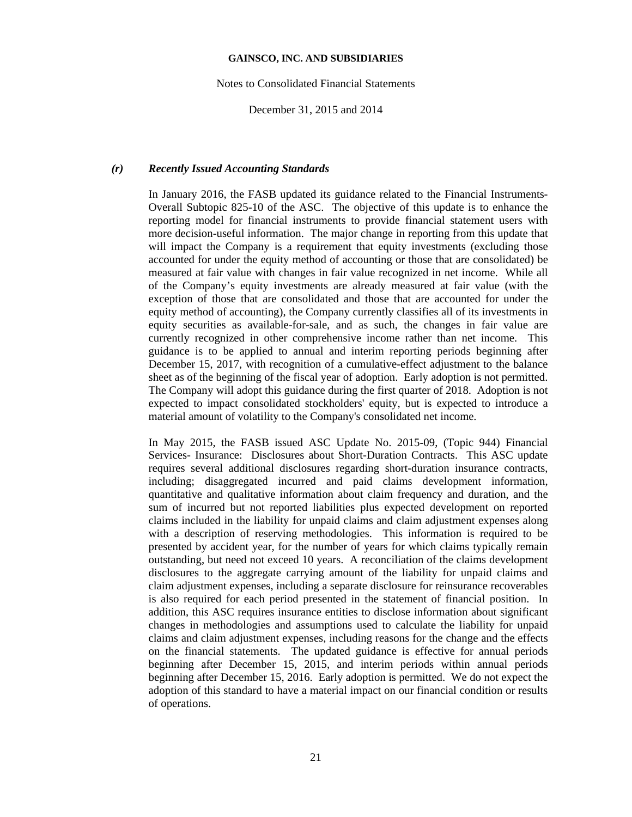Notes to Consolidated Financial Statements

December 31, 2015 and 2014

#### *(r) Recently Issued Accounting Standards*

In January 2016, the FASB updated its guidance related to the Financial Instruments-Overall Subtopic 825-10 of the ASC. The objective of this update is to enhance the reporting model for financial instruments to provide financial statement users with more decision-useful information. The major change in reporting from this update that will impact the Company is a requirement that equity investments (excluding those accounted for under the equity method of accounting or those that are consolidated) be measured at fair value with changes in fair value recognized in net income. While all of the Company's equity investments are already measured at fair value (with the exception of those that are consolidated and those that are accounted for under the equity method of accounting), the Company currently classifies all of its investments in equity securities as available-for-sale, and as such, the changes in fair value are currently recognized in other comprehensive income rather than net income. This guidance is to be applied to annual and interim reporting periods beginning after December 15, 2017, with recognition of a cumulative-effect adjustment to the balance sheet as of the beginning of the fiscal year of adoption. Early adoption is not permitted. The Company will adopt this guidance during the first quarter of 2018. Adoption is not expected to impact consolidated stockholders' equity, but is expected to introduce a material amount of volatility to the Company's consolidated net income.

In May 2015, the FASB issued ASC Update No. 2015-09, (Topic 944) Financial Services- Insurance: Disclosures about Short-Duration Contracts. This ASC update requires several additional disclosures regarding short-duration insurance contracts, including; disaggregated incurred and paid claims development information, quantitative and qualitative information about claim frequency and duration, and the sum of incurred but not reported liabilities plus expected development on reported claims included in the liability for unpaid claims and claim adjustment expenses along with a description of reserving methodologies. This information is required to be presented by accident year, for the number of years for which claims typically remain outstanding, but need not exceed 10 years. A reconciliation of the claims development disclosures to the aggregate carrying amount of the liability for unpaid claims and claim adjustment expenses, including a separate disclosure for reinsurance recoverables is also required for each period presented in the statement of financial position. In addition, this ASC requires insurance entities to disclose information about significant changes in methodologies and assumptions used to calculate the liability for unpaid claims and claim adjustment expenses, including reasons for the change and the effects on the financial statements. The updated guidance is effective for annual periods beginning after December 15, 2015, and interim periods within annual periods beginning after December 15, 2016. Early adoption is permitted. We do not expect the adoption of this standard to have a material impact on our financial condition or results of operations.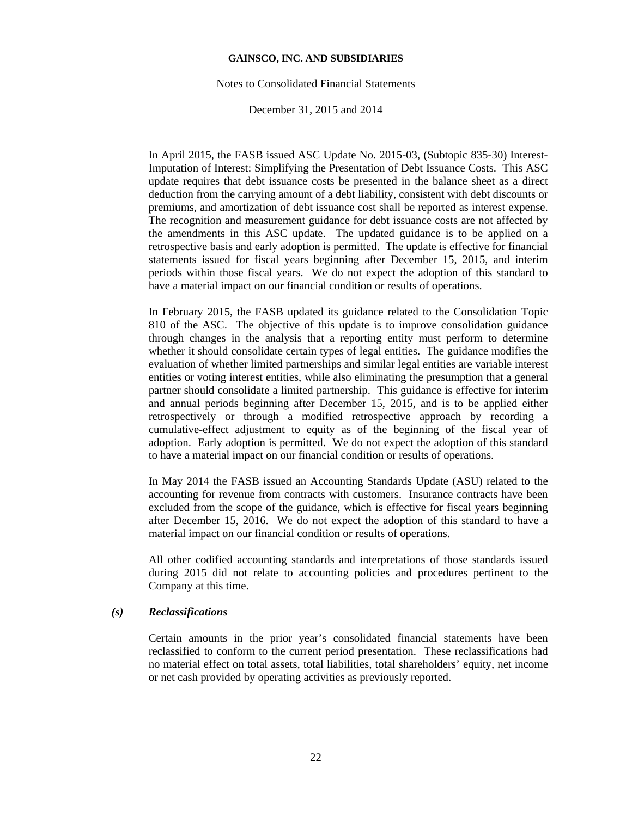#### Notes to Consolidated Financial Statements

#### December 31, 2015 and 2014

In April 2015, the FASB issued ASC Update No. 2015-03, (Subtopic 835-30) Interest-Imputation of Interest: Simplifying the Presentation of Debt Issuance Costs. This ASC update requires that debt issuance costs be presented in the balance sheet as a direct deduction from the carrying amount of a debt liability, consistent with debt discounts or premiums, and amortization of debt issuance cost shall be reported as interest expense. The recognition and measurement guidance for debt issuance costs are not affected by the amendments in this ASC update. The updated guidance is to be applied on a retrospective basis and early adoption is permitted. The update is effective for financial statements issued for fiscal years beginning after December 15, 2015, and interim periods within those fiscal years. We do not expect the adoption of this standard to have a material impact on our financial condition or results of operations.

In February 2015, the FASB updated its guidance related to the Consolidation Topic 810 of the ASC. The objective of this update is to improve consolidation guidance through changes in the analysis that a reporting entity must perform to determine whether it should consolidate certain types of legal entities. The guidance modifies the evaluation of whether limited partnerships and similar legal entities are variable interest entities or voting interest entities, while also eliminating the presumption that a general partner should consolidate a limited partnership. This guidance is effective for interim and annual periods beginning after December 15, 2015, and is to be applied either retrospectively or through a modified retrospective approach by recording a cumulative-effect adjustment to equity as of the beginning of the fiscal year of adoption. Early adoption is permitted. We do not expect the adoption of this standard to have a material impact on our financial condition or results of operations.

In May 2014 the FASB issued an Accounting Standards Update (ASU) related to the accounting for revenue from contracts with customers. Insurance contracts have been excluded from the scope of the guidance, which is effective for fiscal years beginning after December 15, 2016. We do not expect the adoption of this standard to have a material impact on our financial condition or results of operations.

All other codified accounting standards and interpretations of those standards issued during 2015 did not relate to accounting policies and procedures pertinent to the Company at this time.

## *(s) Reclassifications*

Certain amounts in the prior year's consolidated financial statements have been reclassified to conform to the current period presentation. These reclassifications had no material effect on total assets, total liabilities, total shareholders' equity, net income or net cash provided by operating activities as previously reported.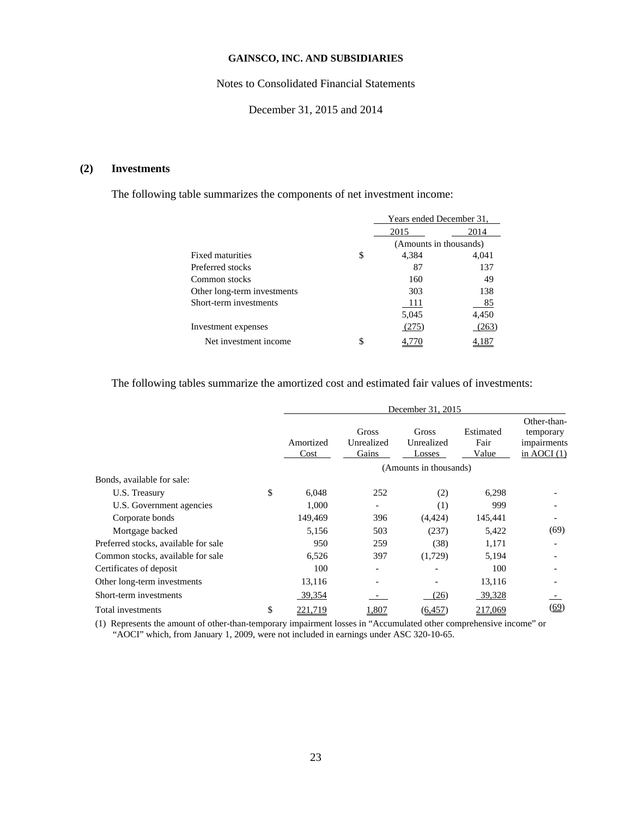## Notes to Consolidated Financial Statements

December 31, 2015 and 2014

# **(2) Investments**

The following table summarizes the components of net investment income:

|                             |    | Years ended December 31, |       |  |  |
|-----------------------------|----|--------------------------|-------|--|--|
|                             |    | 2015                     | 2014  |  |  |
|                             |    | (Amounts in thousands)   |       |  |  |
| Fixed maturities            | \$ | 4,384                    | 4,041 |  |  |
| Preferred stocks            |    | 87                       | 137   |  |  |
| Common stocks               |    | 160                      | 49    |  |  |
| Other long-term investments |    | 303                      | 138   |  |  |
| Short-term investments      |    | -111                     | 85    |  |  |
|                             |    | 5,045                    | 4,450 |  |  |
| Investment expenses         |    | (275)                    | (263) |  |  |
| Net investment income       | S  |                          |       |  |  |

The following tables summarize the amortized cost and estimated fair values of investments:

|                                      | December 31, 2015 |                              |                               |                            |                                                          |  |
|--------------------------------------|-------------------|------------------------------|-------------------------------|----------------------------|----------------------------------------------------------|--|
|                                      | Amortized<br>Cost | Gross<br>Unrealized<br>Gains | Gross<br>Unrealized<br>Losses | Estimated<br>Fair<br>Value | Other-than-<br>temporary<br>impairments<br>in AOCI $(1)$ |  |
|                                      |                   |                              | (Amounts in thousands)        |                            |                                                          |  |
| Bonds, available for sale:           |                   |                              |                               |                            |                                                          |  |
| U.S. Treasury                        | \$<br>6,048       | 252                          | (2)                           | 6,298                      |                                                          |  |
| U.S. Government agencies             | 1,000             |                              | (1)                           | 999                        |                                                          |  |
| Corporate bonds                      | 149,469           | 396                          | (4, 424)                      | 145,441                    |                                                          |  |
| Mortgage backed                      | 5,156             | 503                          | (237)                         | 5,422                      | (69)                                                     |  |
| Preferred stocks, available for sale | 950               | 259                          | (38)                          | 1,171                      |                                                          |  |
| Common stocks, available for sale    | 6,526             | 397                          | (1,729)                       | 5,194                      |                                                          |  |
| Certificates of deposit              | 100               |                              |                               | 100                        |                                                          |  |
| Other long-term investments          | 13,116            |                              |                               | 13,116                     |                                                          |  |
| Short-term investments               | 39,354            |                              | (26)                          | 39,328                     |                                                          |  |
| Total investments                    | \$<br>221,719     | 1,807                        | (6, 457)                      | 217,069                    | (69)                                                     |  |

(1) Represents the amount of other-than-temporary impairment losses in "Accumulated other comprehensive income" or "AOCI" which, from January 1, 2009, were not included in earnings under ASC 320-10-65.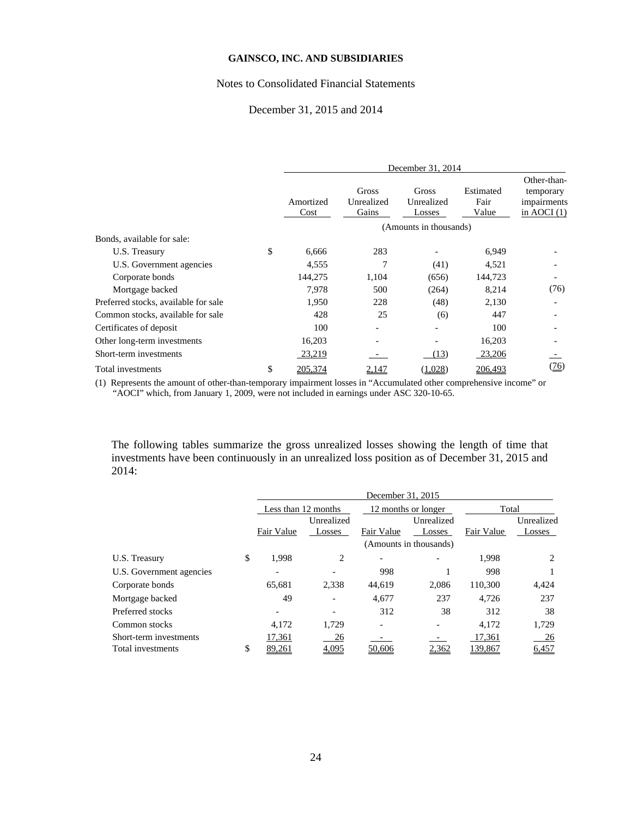#### Notes to Consolidated Financial Statements

## December 31, 2015 and 2014

|                                      | December 31, 2014 |                              |                               |                            |                                                          |  |  |
|--------------------------------------|-------------------|------------------------------|-------------------------------|----------------------------|----------------------------------------------------------|--|--|
|                                      | Amortized<br>Cost | Gross<br>Unrealized<br>Gains | Gross<br>Unrealized<br>Losses | Estimated<br>Fair<br>Value | Other-than-<br>temporary<br>impairments<br>in AOCI $(1)$ |  |  |
|                                      |                   |                              | (Amounts in thousands)        |                            |                                                          |  |  |
| Bonds, available for sale:           |                   |                              |                               |                            |                                                          |  |  |
| U.S. Treasury                        | \$<br>6,666       | 283                          |                               | 6,949                      |                                                          |  |  |
| U.S. Government agencies             | 4,555             | 7                            | (41)                          | 4,521                      |                                                          |  |  |
| Corporate bonds                      | 144,275           | 1,104                        | (656)                         | 144,723                    |                                                          |  |  |
| Mortgage backed                      | 7,978             | 500                          | (264)                         | 8,214                      | (76)                                                     |  |  |
| Preferred stocks, available for sale | 1,950             | 228                          | (48)                          | 2,130                      |                                                          |  |  |
| Common stocks, available for sale    | 428               | 25                           | (6)                           | 447                        |                                                          |  |  |
| Certificates of deposit              | 100               |                              |                               | 100                        |                                                          |  |  |
| Other long-term investments          | 16,203            |                              |                               | 16,203                     |                                                          |  |  |
| Short-term investments               | 23,219            |                              | (13)                          | 23,206                     |                                                          |  |  |
| Total investments                    | \$<br>205,374     | 2,147                        | (1,028)                       | 206,493                    | <u>(76)</u>                                              |  |  |

(1) Represents the amount of other-than-temporary impairment losses in "Accumulated other comprehensive income" or "AOCI" which, from January 1, 2009, were not included in earnings under ASC 320-10-65.

The following tables summarize the gross unrealized losses showing the length of time that investments have been continuously in an unrealized loss position as of December 31, 2015 and 2014:

|                          |                     | December 31, 2015    |                     |                        |            |            |  |  |
|--------------------------|---------------------|----------------------|---------------------|------------------------|------------|------------|--|--|
|                          | Less than 12 months |                      | 12 months or longer |                        | Total      |            |  |  |
|                          | Fair Value          | Unrealized<br>Losses | Fair Value          | Unrealized<br>Losses   | Fair Value | Unrealized |  |  |
|                          |                     |                      |                     | (Amounts in thousands) |            | Losses     |  |  |
| U.S. Treasury            | \$<br>1.998         | 2                    |                     |                        | 1,998      | 2          |  |  |
| U.S. Government agencies |                     |                      | 998                 |                        | 998        |            |  |  |
| Corporate bonds          | 65,681              | 2,338                | 44,619              | 2,086                  | 110,300    | 4,424      |  |  |
| Mortgage backed          | 49                  |                      | 4,677               | 237                    | 4.726      | 237        |  |  |
| Preferred stocks         |                     |                      | 312                 | 38                     | 312        | 38         |  |  |
| Common stocks            | 4.172               | 1,729                |                     |                        | 4.172      | 1,729      |  |  |
| Short-term investments   | 17,361              | 26                   |                     |                        | 17,361     | <u>26</u>  |  |  |
| Total investments        | \$<br><u>89,261</u> | 4,095                | 50,606              | 2,362                  | 139,867    | 6,457      |  |  |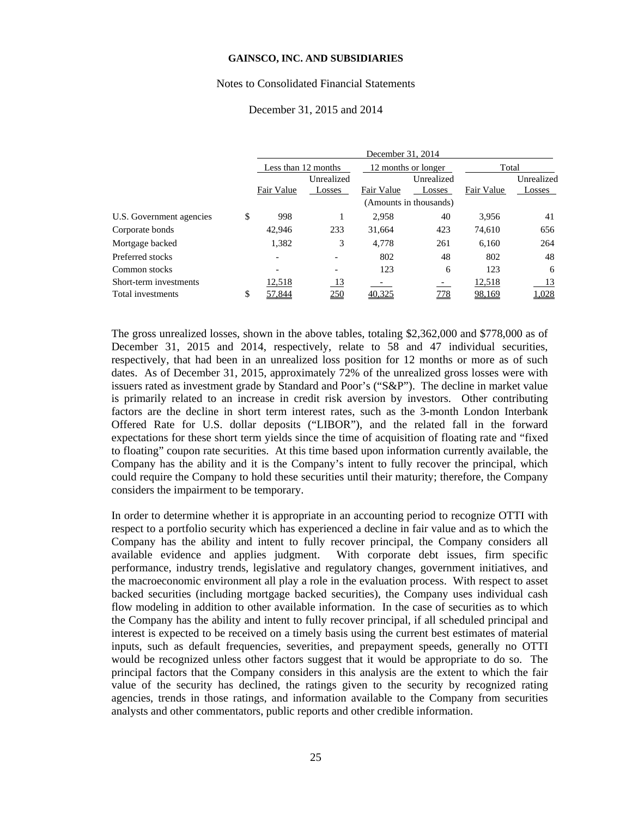#### Notes to Consolidated Financial Statements

## December 31, 2015 and 2014

|              | Unrealized |                     | Unrealized |                                                                    | Unrealized   |
|--------------|------------|---------------------|------------|--------------------------------------------------------------------|--------------|
| Fair Value   | Losses     | Fair Value          | Losses     | Fair Value                                                         | Losses       |
|              |            |                     |            |                                                                    |              |
| \$<br>998    |            | 2.958               | 40         | 3.956                                                              | 41           |
| 42,946       | 233        | 31.664              | 423        | 74.610                                                             | 656          |
| 1,382        | 3          | 4,778               | 261        | 6,160                                                              | 264          |
|              |            | 802                 | 48         | 802                                                                | 48           |
|              |            | 123                 | 6          | 123                                                                | 6            |
| 12,518       | <u>13</u>  |                     |            | 12,518                                                             | 13           |
| \$<br>57.844 | 250        |                     | <u>778</u> | 98,169                                                             | <u>1.028</u> |
|              |            | Less than 12 months |            | December 31, 2014<br>12 months or longer<br>(Amounts in thousands) | Total        |

The gross unrealized losses, shown in the above tables, totaling \$2,362,000 and \$778,000 as of December 31, 2015 and 2014, respectively, relate to 58 and 47 individual securities, respectively, that had been in an unrealized loss position for 12 months or more as of such dates. As of December 31, 2015, approximately 72% of the unrealized gross losses were with issuers rated as investment grade by Standard and Poor's ("S&P"). The decline in market value is primarily related to an increase in credit risk aversion by investors. Other contributing factors are the decline in short term interest rates, such as the 3-month London Interbank Offered Rate for U.S. dollar deposits ("LIBOR"), and the related fall in the forward expectations for these short term yields since the time of acquisition of floating rate and "fixed to floating" coupon rate securities. At this time based upon information currently available, the Company has the ability and it is the Company's intent to fully recover the principal, which could require the Company to hold these securities until their maturity; therefore, the Company considers the impairment to be temporary.

In order to determine whether it is appropriate in an accounting period to recognize OTTI with respect to a portfolio security which has experienced a decline in fair value and as to which the Company has the ability and intent to fully recover principal, the Company considers all available evidence and applies judgment. With corporate debt issues, firm specific performance, industry trends, legislative and regulatory changes, government initiatives, and the macroeconomic environment all play a role in the evaluation process. With respect to asset backed securities (including mortgage backed securities), the Company uses individual cash flow modeling in addition to other available information. In the case of securities as to which the Company has the ability and intent to fully recover principal, if all scheduled principal and interest is expected to be received on a timely basis using the current best estimates of material inputs, such as default frequencies, severities, and prepayment speeds, generally no OTTI would be recognized unless other factors suggest that it would be appropriate to do so. The principal factors that the Company considers in this analysis are the extent to which the fair value of the security has declined, the ratings given to the security by recognized rating agencies, trends in those ratings, and information available to the Company from securities analysts and other commentators, public reports and other credible information.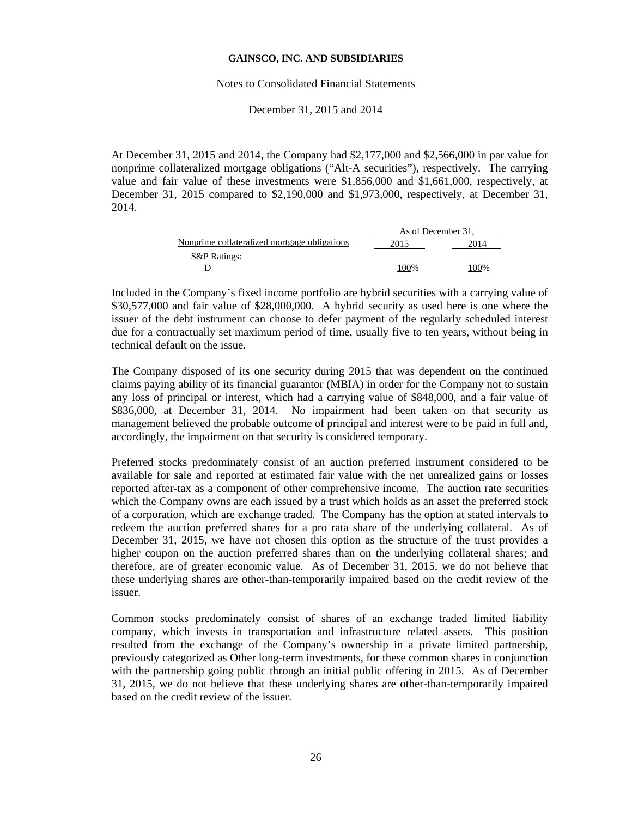#### Notes to Consolidated Financial Statements

December 31, 2015 and 2014

At December 31, 2015 and 2014, the Company had \$2,177,000 and \$2,566,000 in par value for nonprime collateralized mortgage obligations ("Alt-A securities"), respectively. The carrying value and fair value of these investments were \$1,856,000 and \$1,661,000, respectively, at December 31, 2015 compared to \$2,190,000 and \$1,973,000, respectively, at December 31, 2014.

|                                              | As of December 31. |      |
|----------------------------------------------|--------------------|------|
| Nonprime collateralized mortgage obligations | 2015               | 2014 |
| <b>S&amp;P Ratings:</b>                      |                    |      |
|                                              | 100%               | 100% |

Included in the Company's fixed income portfolio are hybrid securities with a carrying value of \$30,577,000 and fair value of \$28,000,000. A hybrid security as used here is one where the issuer of the debt instrument can choose to defer payment of the regularly scheduled interest due for a contractually set maximum period of time, usually five to ten years, without being in technical default on the issue.

The Company disposed of its one security during 2015 that was dependent on the continued claims paying ability of its financial guarantor (MBIA) in order for the Company not to sustain any loss of principal or interest, which had a carrying value of \$848,000, and a fair value of \$836,000, at December 31, 2014. No impairment had been taken on that security as management believed the probable outcome of principal and interest were to be paid in full and, accordingly, the impairment on that security is considered temporary.

Preferred stocks predominately consist of an auction preferred instrument considered to be available for sale and reported at estimated fair value with the net unrealized gains or losses reported after-tax as a component of other comprehensive income. The auction rate securities which the Company owns are each issued by a trust which holds as an asset the preferred stock of a corporation, which are exchange traded. The Company has the option at stated intervals to redeem the auction preferred shares for a pro rata share of the underlying collateral. As of December 31, 2015, we have not chosen this option as the structure of the trust provides a higher coupon on the auction preferred shares than on the underlying collateral shares; and therefore, are of greater economic value. As of December 31, 2015, we do not believe that these underlying shares are other-than-temporarily impaired based on the credit review of the issuer.

Common stocks predominately consist of shares of an exchange traded limited liability company, which invests in transportation and infrastructure related assets. This position resulted from the exchange of the Company's ownership in a private limited partnership, previously categorized as Other long-term investments, for these common shares in conjunction with the partnership going public through an initial public offering in 2015. As of December 31, 2015, we do not believe that these underlying shares are other-than-temporarily impaired based on the credit review of the issuer.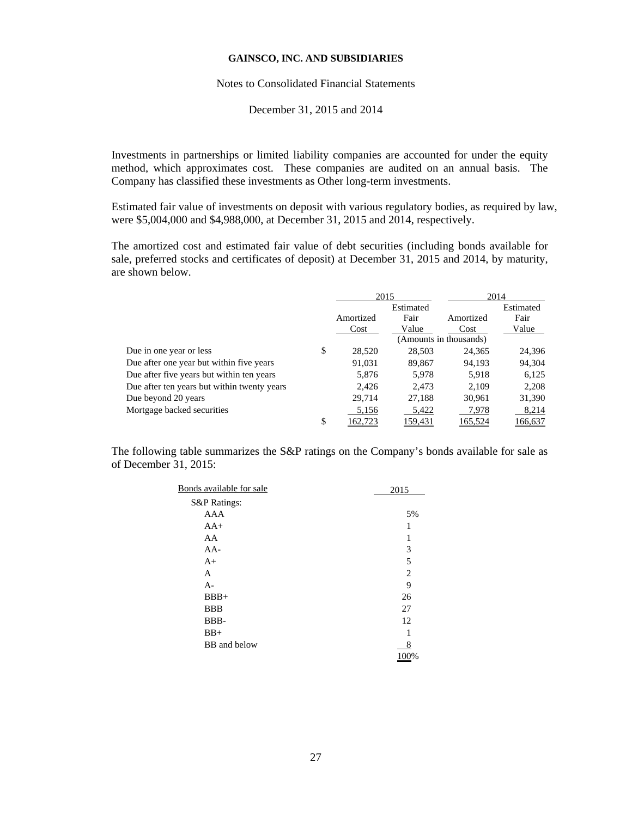#### Notes to Consolidated Financial Statements

December 31, 2015 and 2014

Investments in partnerships or limited liability companies are accounted for under the equity method, which approximates cost. These companies are audited on an annual basis. The Company has classified these investments as Other long-term investments.

Estimated fair value of investments on deposit with various regulatory bodies, as required by law, were \$5,004,000 and \$4,988,000, at December 31, 2015 and 2014, respectively.

The amortized cost and estimated fair value of debt securities (including bonds available for sale, preferred stocks and certificates of deposit) at December 31, 2015 and 2014, by maturity, are shown below.

|                                             |               | 2015      |                        | 2014      |
|---------------------------------------------|---------------|-----------|------------------------|-----------|
|                                             |               | Estimated |                        | Estimated |
|                                             | Amortized     | Fair      | Amortized              | Fair      |
|                                             | Cost          | Value     | Cost                   | Value     |
|                                             |               |           | (Amounts in thousands) |           |
| Due in one year or less                     | \$<br>28,520  | 28,503    | 24,365                 | 24,396    |
| Due after one year but within five years    | 91.031        | 89,867    | 94,193                 | 94,304    |
| Due after five years but within ten years   | 5,876         | 5,978     | 5,918                  | 6,125     |
| Due after ten years but within twenty years | 2,426         | 2.473     | 2,109                  | 2,208     |
| Due beyond 20 years                         | 29,714        | 27,188    | 30,961                 | 31,390    |
| Mortgage backed securities                  | 5,156         | 5,422     | 7,978                  | 8,214     |
|                                             | \$<br>162,723 | 159,431   | 165,524                | 166,637   |

The following table summarizes the S&P ratings on the Company's bonds available for sale as of December 31, 2015:

| Bonds available for sale | 2015 |
|--------------------------|------|
| S&P Ratings:             |      |
| <b>AAA</b>               | 5%   |
| $AA+$                    | 1    |
| AA                       | 1    |
| $AA-$                    | 3    |
| $A+$                     | 5    |
| A                        | 2    |
| $A-$                     | 9    |
| $BBB+$                   | 26   |
| <b>BBB</b>               | 27   |
| BBB-                     | 12   |
| $BB+$                    |      |
| BB and below             | 8    |
|                          | 100% |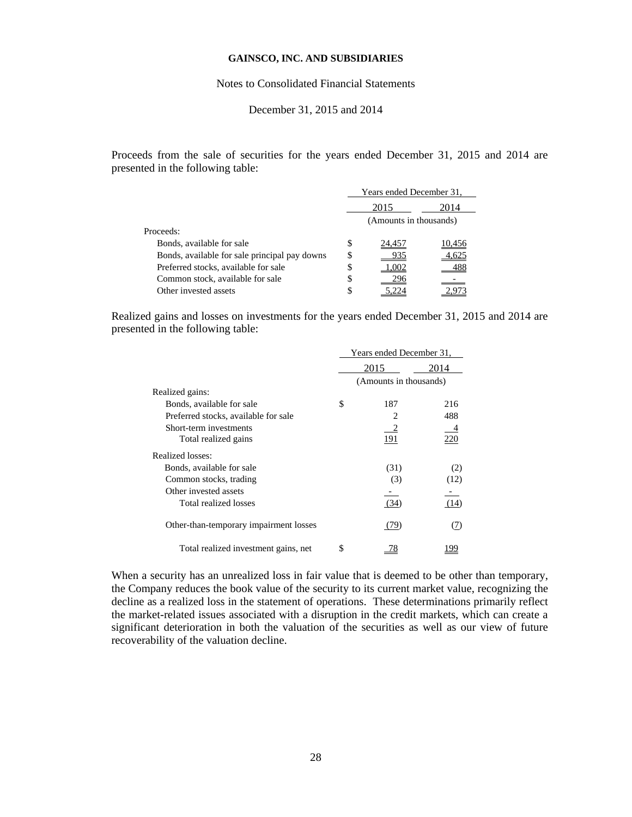#### Notes to Consolidated Financial Statements

## December 31, 2015 and 2014

Proceeds from the sale of securities for the years ended December 31, 2015 and 2014 are presented in the following table:

|                                               |                        | Years ended December 31, |        |  |
|-----------------------------------------------|------------------------|--------------------------|--------|--|
|                                               | 2015<br>2014           |                          |        |  |
|                                               | (Amounts in thousands) |                          |        |  |
| Proceeds:                                     |                        |                          |        |  |
| Bonds, available for sale                     | S                      | 24,457                   | 10.456 |  |
| Bonds, available for sale principal pay downs | S                      |                          |        |  |
| Preferred stocks, available for sale          | \$                     |                          |        |  |
| Common stock, available for sale              | \$                     |                          |        |  |
| Other invested assets                         | S                      |                          |        |  |

Realized gains and losses on investments for the years ended December 31, 2015 and 2014 are presented in the following table:

|                                        | Years ended December 31, |                        |      |
|----------------------------------------|--------------------------|------------------------|------|
|                                        | 2015                     |                        | 2014 |
|                                        |                          | (Amounts in thousands) |      |
| Realized gains:                        |                          |                        |      |
| Bonds, available for sale              | \$                       | 187                    | 216  |
| Preferred stocks, available for sale   |                          |                        | 488  |
| Short-term investments                 |                          |                        |      |
| Total realized gains                   |                          | 191                    | 220  |
| Realized losses:                       |                          |                        |      |
| Bonds, available for sale              |                          | (31)                   | (2)  |
| Common stocks, trading                 |                          | (3)                    | (12) |
| Other invested assets                  |                          |                        |      |
| Total realized losses                  |                          | (34)                   | (14) |
| Other-than-temporary impairment losses |                          | (79)                   | (7)  |
| Total realized investment gains, net   | S                        | 78                     |      |

When a security has an unrealized loss in fair value that is deemed to be other than temporary, the Company reduces the book value of the security to its current market value, recognizing the decline as a realized loss in the statement of operations. These determinations primarily reflect the market-related issues associated with a disruption in the credit markets, which can create a significant deterioration in both the valuation of the securities as well as our view of future recoverability of the valuation decline.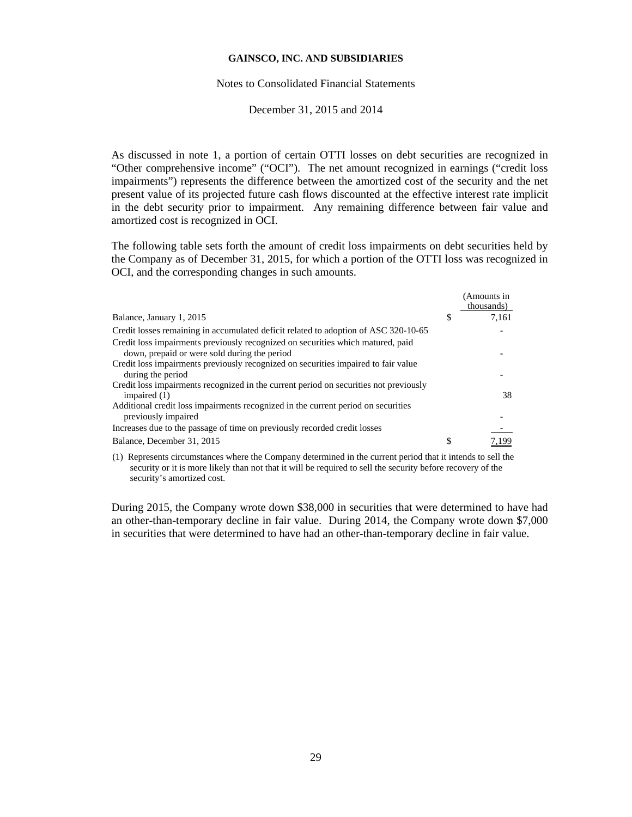#### Notes to Consolidated Financial Statements

December 31, 2015 and 2014

As discussed in note 1, a portion of certain OTTI losses on debt securities are recognized in "Other comprehensive income" ("OCI"). The net amount recognized in earnings ("credit loss impairments") represents the difference between the amortized cost of the security and the net present value of its projected future cash flows discounted at the effective interest rate implicit in the debt security prior to impairment. Any remaining difference between fair value and amortized cost is recognized in OCI.

The following table sets forth the amount of credit loss impairments on debt securities held by the Company as of December 31, 2015, for which a portion of the OTTI loss was recognized in OCI, and the corresponding changes in such amounts.

|                                                                                                          | (Amounts in<br>thousands) |
|----------------------------------------------------------------------------------------------------------|---------------------------|
| Balance, January 1, 2015                                                                                 | \$<br>7.161               |
| Credit losses remaining in accumulated deficit related to adoption of ASC 320-10-65                      |                           |
| Credit loss impairments previously recognized on securities which matured, paid                          |                           |
| down, prepaid or were sold during the period                                                             |                           |
| Credit loss impairments previously recognized on securities impaired to fair value                       |                           |
| during the period                                                                                        |                           |
| Credit loss impairments recognized in the current period on securities not previously<br>impaired $(1)$  | 38                        |
| Additional credit loss impairments recognized in the current period on securities<br>previously impaired |                           |
|                                                                                                          |                           |
| Increases due to the passage of time on previously recorded credit losses                                |                           |
| Balance, December 31, 2015                                                                               | \$                        |

(1) Represents circumstances where the Company determined in the current period that it intends to sell the security or it is more likely than not that it will be required to sell the security before recovery of the security's amortized cost.

During 2015, the Company wrote down \$38,000 in securities that were determined to have had an other-than-temporary decline in fair value. During 2014, the Company wrote down \$7,000 in securities that were determined to have had an other-than-temporary decline in fair value.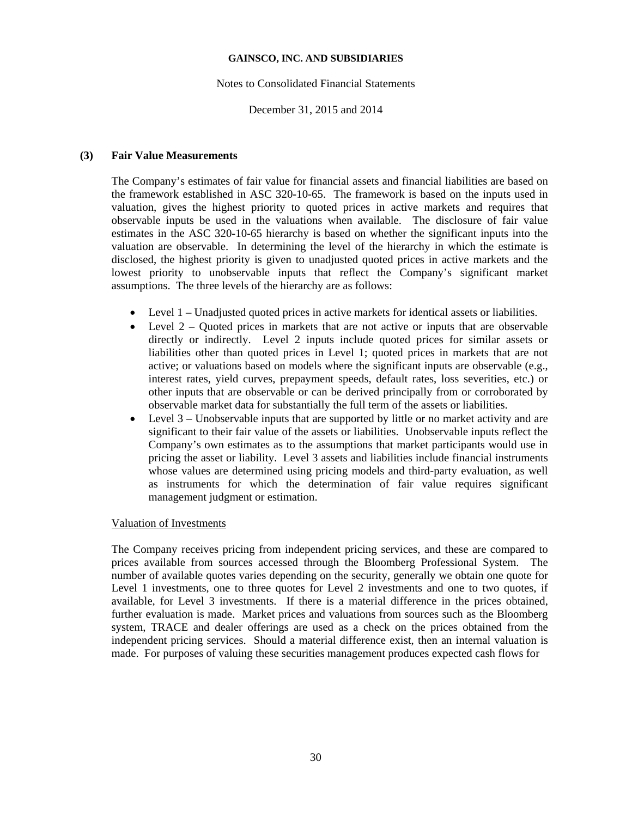## Notes to Consolidated Financial Statements

## December 31, 2015 and 2014

## **(3) Fair Value Measurements**

The Company's estimates of fair value for financial assets and financial liabilities are based on the framework established in ASC 320-10-65. The framework is based on the inputs used in valuation, gives the highest priority to quoted prices in active markets and requires that observable inputs be used in the valuations when available. The disclosure of fair value estimates in the ASC 320-10-65 hierarchy is based on whether the significant inputs into the valuation are observable. In determining the level of the hierarchy in which the estimate is disclosed, the highest priority is given to unadjusted quoted prices in active markets and the lowest priority to unobservable inputs that reflect the Company's significant market assumptions. The three levels of the hierarchy are as follows:

- Level 1 Unadjusted quoted prices in active markets for identical assets or liabilities.
- Level  $2 -$  Quoted prices in markets that are not active or inputs that are observable directly or indirectly. Level 2 inputs include quoted prices for similar assets or liabilities other than quoted prices in Level 1; quoted prices in markets that are not active; or valuations based on models where the significant inputs are observable (e.g., interest rates, yield curves, prepayment speeds, default rates, loss severities, etc.) or other inputs that are observable or can be derived principally from or corroborated by observable market data for substantially the full term of the assets or liabilities.
- Level 3 Unobservable inputs that are supported by little or no market activity and are significant to their fair value of the assets or liabilities. Unobservable inputs reflect the Company's own estimates as to the assumptions that market participants would use in pricing the asset or liability. Level 3 assets and liabilities include financial instruments whose values are determined using pricing models and third-party evaluation, as well as instruments for which the determination of fair value requires significant management judgment or estimation.

## Valuation of Investments

The Company receives pricing from independent pricing services, and these are compared to prices available from sources accessed through the Bloomberg Professional System. The number of available quotes varies depending on the security, generally we obtain one quote for Level 1 investments, one to three quotes for Level 2 investments and one to two quotes, if available, for Level 3 investments. If there is a material difference in the prices obtained, further evaluation is made. Market prices and valuations from sources such as the Bloomberg system, TRACE and dealer offerings are used as a check on the prices obtained from the independent pricing services. Should a material difference exist, then an internal valuation is made. For purposes of valuing these securities management produces expected cash flows for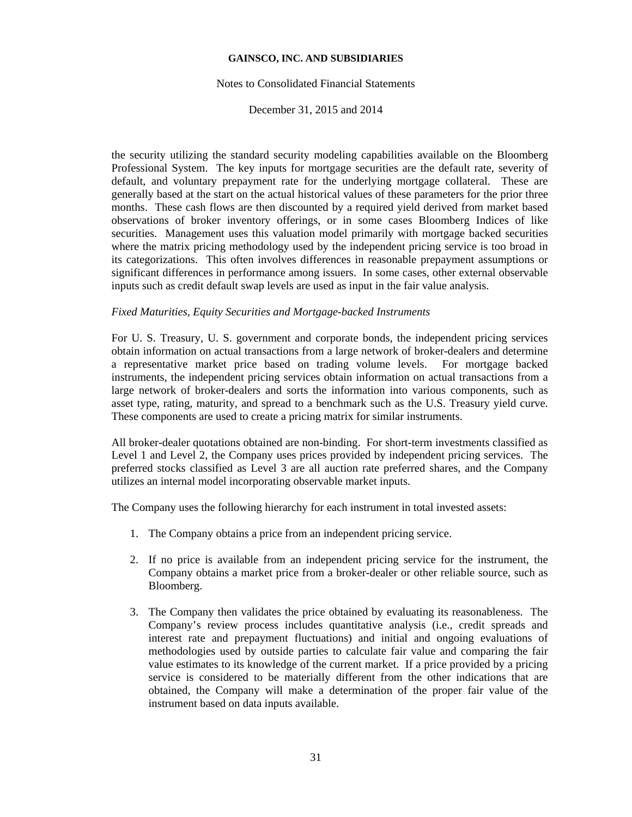### Notes to Consolidated Financial Statements

December 31, 2015 and 2014

the security utilizing the standard security modeling capabilities available on the Bloomberg Professional System. The key inputs for mortgage securities are the default rate, severity of default, and voluntary prepayment rate for the underlying mortgage collateral. These are generally based at the start on the actual historical values of these parameters for the prior three months. These cash flows are then discounted by a required yield derived from market based observations of broker inventory offerings, or in some cases Bloomberg Indices of like securities. Management uses this valuation model primarily with mortgage backed securities where the matrix pricing methodology used by the independent pricing service is too broad in its categorizations. This often involves differences in reasonable prepayment assumptions or significant differences in performance among issuers. In some cases, other external observable inputs such as credit default swap levels are used as input in the fair value analysis.

### *Fixed Maturities, Equity Securities and Mortgage-backed Instruments*

For U. S. Treasury, U. S. government and corporate bonds, the independent pricing services obtain information on actual transactions from a large network of broker-dealers and determine a representative market price based on trading volume levels. For mortgage backed instruments, the independent pricing services obtain information on actual transactions from a large network of broker-dealers and sorts the information into various components, such as asset type, rating, maturity, and spread to a benchmark such as the U.S. Treasury yield curve. These components are used to create a pricing matrix for similar instruments.

All broker-dealer quotations obtained are non-binding. For short-term investments classified as Level 1 and Level 2, the Company uses prices provided by independent pricing services. The preferred stocks classified as Level 3 are all auction rate preferred shares, and the Company utilizes an internal model incorporating observable market inputs.

The Company uses the following hierarchy for each instrument in total invested assets:

- 1. The Company obtains a price from an independent pricing service.
- 2. If no price is available from an independent pricing service for the instrument, the Company obtains a market price from a broker-dealer or other reliable source, such as Bloomberg.
- 3. The Company then validates the price obtained by evaluating its reasonableness. The Company's review process includes quantitative analysis (i.e., credit spreads and interest rate and prepayment fluctuations) and initial and ongoing evaluations of methodologies used by outside parties to calculate fair value and comparing the fair value estimates to its knowledge of the current market. If a price provided by a pricing service is considered to be materially different from the other indications that are obtained, the Company will make a determination of the proper fair value of the instrument based on data inputs available.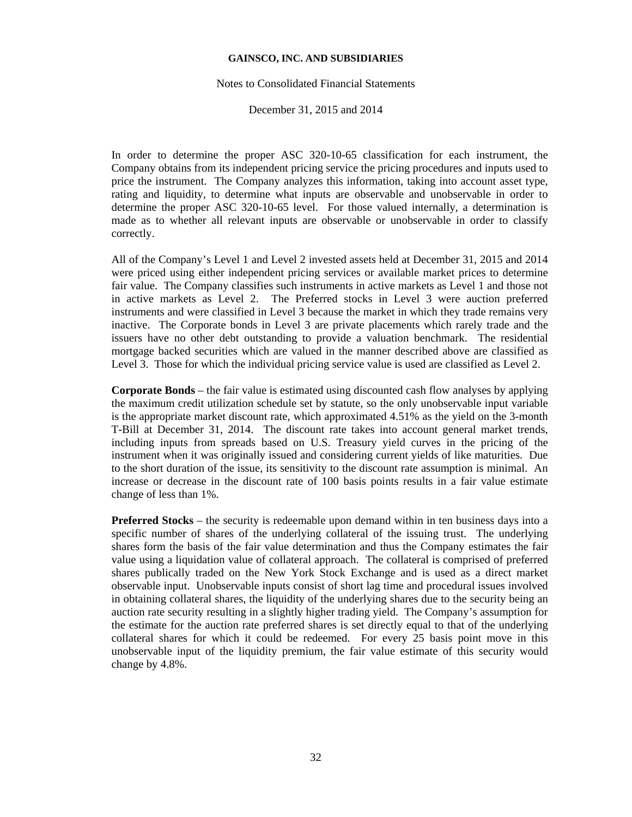#### Notes to Consolidated Financial Statements

December 31, 2015 and 2014

In order to determine the proper ASC 320-10-65 classification for each instrument, the Company obtains from its independent pricing service the pricing procedures and inputs used to price the instrument. The Company analyzes this information, taking into account asset type, rating and liquidity, to determine what inputs are observable and unobservable in order to determine the proper ASC 320-10-65 level. For those valued internally, a determination is made as to whether all relevant inputs are observable or unobservable in order to classify correctly.

All of the Company's Level 1 and Level 2 invested assets held at December 31, 2015 and 2014 were priced using either independent pricing services or available market prices to determine fair value. The Company classifies such instruments in active markets as Level 1 and those not in active markets as Level 2. The Preferred stocks in Level 3 were auction preferred instruments and were classified in Level 3 because the market in which they trade remains very inactive. The Corporate bonds in Level 3 are private placements which rarely trade and the issuers have no other debt outstanding to provide a valuation benchmark. The residential mortgage backed securities which are valued in the manner described above are classified as Level 3. Those for which the individual pricing service value is used are classified as Level 2.

**Corporate Bonds** – the fair value is estimated using discounted cash flow analyses by applying the maximum credit utilization schedule set by statute, so the only unobservable input variable is the appropriate market discount rate, which approximated 4.51% as the yield on the 3-month T-Bill at December 31, 2014. The discount rate takes into account general market trends, including inputs from spreads based on U.S. Treasury yield curves in the pricing of the instrument when it was originally issued and considering current yields of like maturities. Due to the short duration of the issue, its sensitivity to the discount rate assumption is minimal. An increase or decrease in the discount rate of 100 basis points results in a fair value estimate change of less than 1%.

**Preferred Stocks** – the security is redeemable upon demand within in ten business days into a specific number of shares of the underlying collateral of the issuing trust. The underlying shares form the basis of the fair value determination and thus the Company estimates the fair value using a liquidation value of collateral approach. The collateral is comprised of preferred shares publically traded on the New York Stock Exchange and is used as a direct market observable input. Unobservable inputs consist of short lag time and procedural issues involved in obtaining collateral shares, the liquidity of the underlying shares due to the security being an auction rate security resulting in a slightly higher trading yield. The Company's assumption for the estimate for the auction rate preferred shares is set directly equal to that of the underlying collateral shares for which it could be redeemed. For every 25 basis point move in this unobservable input of the liquidity premium, the fair value estimate of this security would change by 4.8%.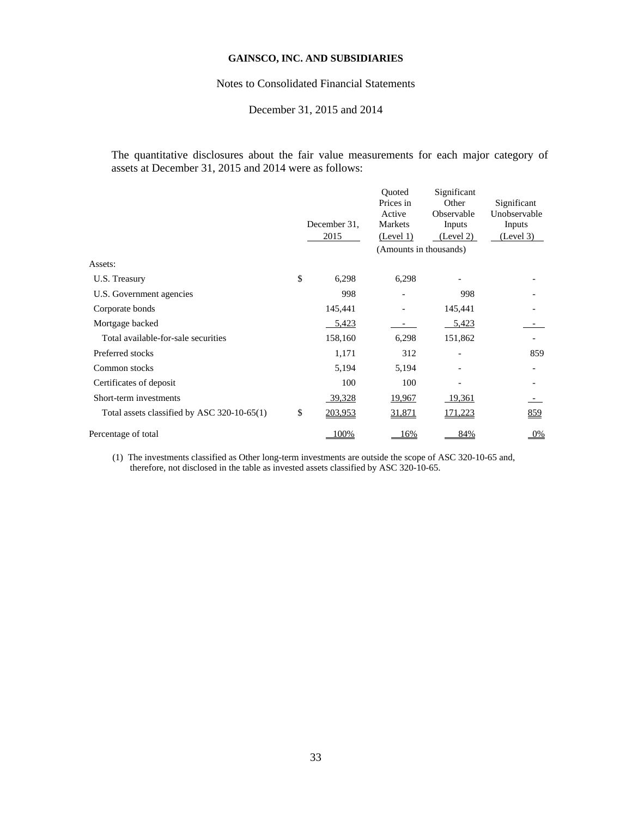## Notes to Consolidated Financial Statements

# December 31, 2015 and 2014

The quantitative disclosures about the fair value measurements for each major category of assets at December 31, 2015 and 2014 were as follows:

|                                             | December 31.<br>2015 | Ouoted<br>Prices in<br>Active<br>Markets<br>(Level 1)<br>(Amounts in thousands) | Significant<br>Other<br>Observable<br>Inputs<br>(Level 2) | Significant<br>Unobservable<br>Inputs<br>(Level 3) |
|---------------------------------------------|----------------------|---------------------------------------------------------------------------------|-----------------------------------------------------------|----------------------------------------------------|
| Assets:                                     |                      |                                                                                 |                                                           |                                                    |
| U.S. Treasury                               | \$<br>6,298          | 6,298                                                                           |                                                           |                                                    |
| U.S. Government agencies                    | 998                  |                                                                                 | 998                                                       |                                                    |
| Corporate bonds                             | 145,441              |                                                                                 | 145,441                                                   |                                                    |
| Mortgage backed                             | 5,423                |                                                                                 | 5,423                                                     |                                                    |
| Total available-for-sale securities         | 158,160              | 6,298                                                                           | 151,862                                                   |                                                    |
| Preferred stocks                            | 1,171                | 312                                                                             |                                                           | 859                                                |
| Common stocks                               | 5,194                | 5,194                                                                           |                                                           |                                                    |
| Certificates of deposit                     | 100                  | 100                                                                             |                                                           |                                                    |
| Short-term investments                      | 39,328               | <u>19,967</u>                                                                   | <u>19,361</u>                                             |                                                    |
| Total assets classified by ASC 320-10-65(1) | \$<br>203,953        | 31,871                                                                          | <u>171,223</u>                                            | <u>859</u>                                         |
| Percentage of total                         | 00%                  | 16%                                                                             | 84%                                                       | $0\%$                                              |
|                                             |                      |                                                                                 |                                                           |                                                    |

(1) The investments classified as Other long-term investments are outside the scope of ASC 320-10-65 and, therefore, not disclosed in the table as invested assets classified by ASC 320-10-65.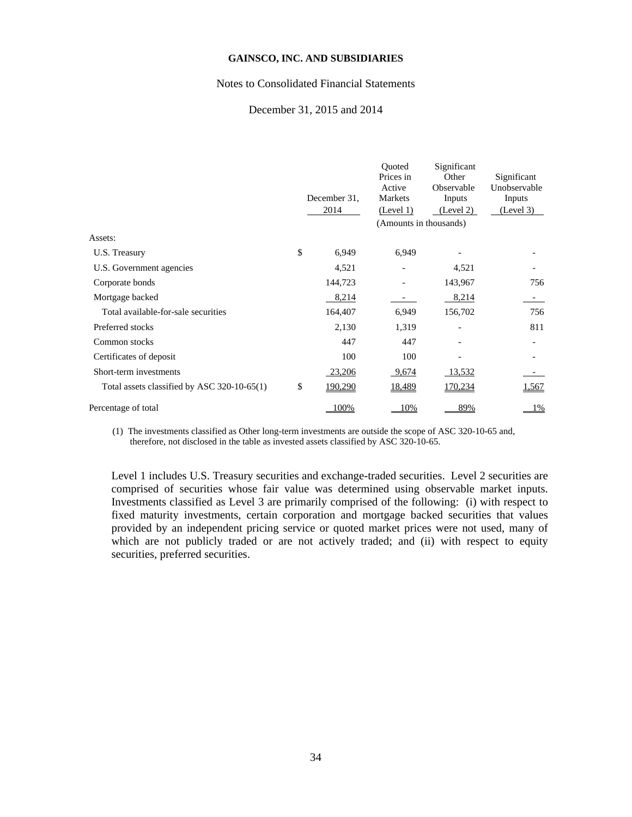#### Notes to Consolidated Financial Statements

## December 31, 2015 and 2014

|                                             | December 31.<br>2014 | Ouoted<br>Prices in<br>Active<br>Markets<br>(Level 1) | Significant<br>Other<br>Observable<br>Inputs<br>(Level 2) | Significant<br>Unobservable<br>Inputs<br>(Level 3) |
|---------------------------------------------|----------------------|-------------------------------------------------------|-----------------------------------------------------------|----------------------------------------------------|
|                                             |                      | (Amounts in thousands)                                |                                                           |                                                    |
| Assets:                                     |                      |                                                       |                                                           |                                                    |
| U.S. Treasury                               | \$<br>6,949          | 6,949                                                 |                                                           |                                                    |
| U.S. Government agencies                    | 4,521                |                                                       | 4,521                                                     |                                                    |
| Corporate bonds                             | 144,723              |                                                       | 143,967                                                   | 756                                                |
| Mortgage backed                             | 8,214                |                                                       | 8,214                                                     |                                                    |
| Total available-for-sale securities         | 164,407              | 6,949                                                 | 156,702                                                   | 756                                                |
| Preferred stocks                            | 2,130                | 1,319                                                 |                                                           | 811                                                |
| Common stocks                               | 447                  | 447                                                   |                                                           |                                                    |
| Certificates of deposit                     | 100                  | 100                                                   |                                                           |                                                    |
| Short-term investments                      | 23,206               | 9,674                                                 | 13,532                                                    |                                                    |
| Total assets classified by ASC 320-10-65(1) | \$<br>190,290        | <u>18,489</u>                                         | 170,234                                                   | 1,567                                              |
| Percentage of total                         | 00%                  | 10%                                                   | 89%                                                       | 1%                                                 |

(1) The investments classified as Other long-term investments are outside the scope of ASC 320-10-65 and, therefore, not disclosed in the table as invested assets classified by ASC 320-10-65.

Level 1 includes U.S. Treasury securities and exchange-traded securities. Level 2 securities are comprised of securities whose fair value was determined using observable market inputs. Investments classified as Level 3 are primarily comprised of the following: (i) with respect to fixed maturity investments, certain corporation and mortgage backed securities that values provided by an independent pricing service or quoted market prices were not used, many of which are not publicly traded or are not actively traded; and (ii) with respect to equity securities, preferred securities.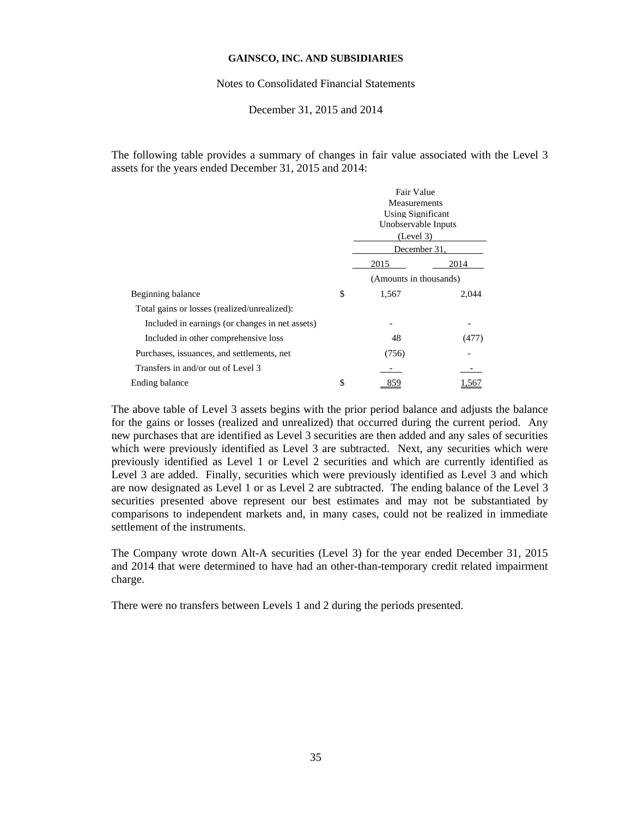Notes to Consolidated Financial Statements

## December 31, 2015 and 2014

The following table provides a summary of changes in fair value associated with the Level 3 assets for the years ended December 31, 2015 and 2014:

|                                                 | Fair Value<br>Measurements<br>Using Significant<br>Unobservable Inputs<br>(Level 3)<br>December 31, |       |
|-------------------------------------------------|-----------------------------------------------------------------------------------------------------|-------|
|                                                 | 2015                                                                                                | 2014  |
|                                                 | (Amounts in thousands)                                                                              |       |
| Beginning balance                               | \$<br>1,567                                                                                         | 2,044 |
| Total gains or losses (realized/unrealized):    |                                                                                                     |       |
| Included in earnings (or changes in net assets) |                                                                                                     |       |
| Included in other comprehensive loss            | 48                                                                                                  | (477) |
| Purchases, issuances, and settlements, net      | (756)                                                                                               |       |
| Transfers in and/or out of Level 3              |                                                                                                     |       |
| Ending balance                                  | \$<br>859                                                                                           | .567  |

The above table of Level 3 assets begins with the prior period balance and adjusts the balance for the gains or losses (realized and unrealized) that occurred during the current period. Any new purchases that are identified as Level 3 securities are then added and any sales of securities which were previously identified as Level 3 are subtracted. Next, any securities which were previously identified as Level 1 or Level 2 securities and which are currently identified as Level 3 are added. Finally, securities which were previously identified as Level 3 and which are now designated as Level 1 or as Level 2 are subtracted. The ending balance of the Level 3 securities presented above represent our best estimates and may not be substantiated by comparisons to independent markets and, in many cases, could not be realized in immediate settlement of the instruments.

The Company wrote down Alt-A securities (Level 3) for the year ended December 31, 2015 and 2014 that were determined to have had an other-than-temporary credit related impairment charge.

There were no transfers between Levels 1 and 2 during the periods presented.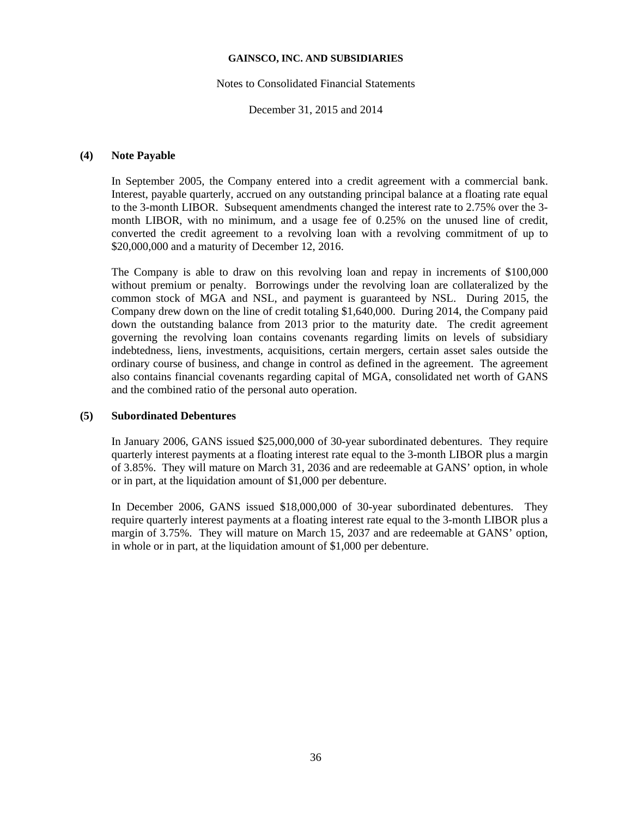#### Notes to Consolidated Financial Statements

December 31, 2015 and 2014

## **(4) Note Payable**

In September 2005, the Company entered into a credit agreement with a commercial bank. Interest, payable quarterly, accrued on any outstanding principal balance at a floating rate equal to the 3-month LIBOR. Subsequent amendments changed the interest rate to 2.75% over the 3 month LIBOR, with no minimum, and a usage fee of 0.25% on the unused line of credit, converted the credit agreement to a revolving loan with a revolving commitment of up to \$20,000,000 and a maturity of December 12, 2016.

The Company is able to draw on this revolving loan and repay in increments of \$100,000 without premium or penalty. Borrowings under the revolving loan are collateralized by the common stock of MGA and NSL, and payment is guaranteed by NSL. During 2015, the Company drew down on the line of credit totaling \$1,640,000. During 2014, the Company paid down the outstanding balance from 2013 prior to the maturity date. The credit agreement governing the revolving loan contains covenants regarding limits on levels of subsidiary indebtedness, liens, investments, acquisitions, certain mergers, certain asset sales outside the ordinary course of business, and change in control as defined in the agreement. The agreement also contains financial covenants regarding capital of MGA, consolidated net worth of GANS and the combined ratio of the personal auto operation.

# **(5) Subordinated Debentures**

In January 2006, GANS issued \$25,000,000 of 30-year subordinated debentures. They require quarterly interest payments at a floating interest rate equal to the 3-month LIBOR plus a margin of 3.85%. They will mature on March 31, 2036 and are redeemable at GANS' option, in whole or in part, at the liquidation amount of \$1,000 per debenture.

In December 2006, GANS issued \$18,000,000 of 30-year subordinated debentures. They require quarterly interest payments at a floating interest rate equal to the 3-month LIBOR plus a margin of 3.75%. They will mature on March 15, 2037 and are redeemable at GANS' option, in whole or in part, at the liquidation amount of \$1,000 per debenture.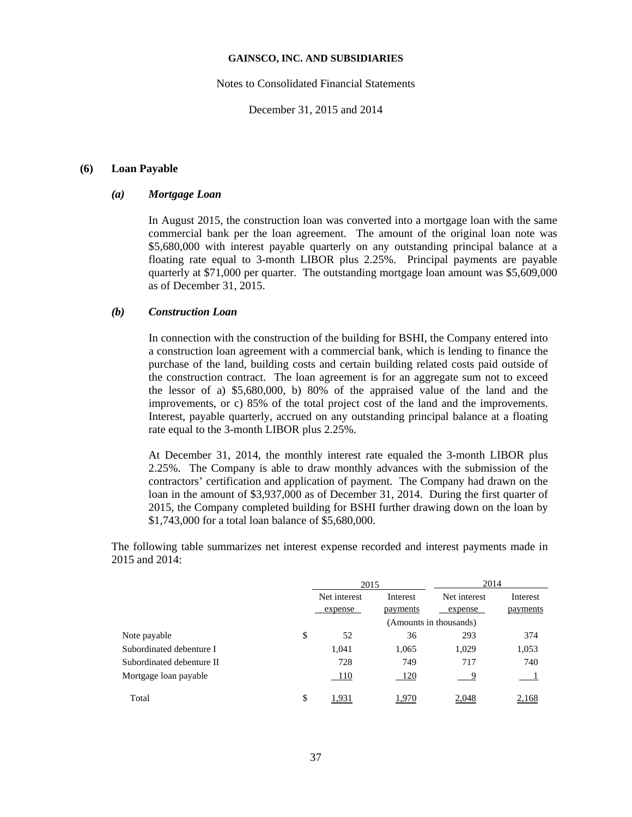#### Notes to Consolidated Financial Statements

December 31, 2015 and 2014

## **(6) Loan Payable**

## *(a) Mortgage Loan*

In August 2015, the construction loan was converted into a mortgage loan with the same commercial bank per the loan agreement. The amount of the original loan note was \$5,680,000 with interest payable quarterly on any outstanding principal balance at a floating rate equal to 3-month LIBOR plus 2.25%. Principal payments are payable quarterly at \$71,000 per quarter. The outstanding mortgage loan amount was \$5,609,000 as of December 31, 2015.

# *(b) Construction Loan*

In connection with the construction of the building for BSHI, the Company entered into a construction loan agreement with a commercial bank, which is lending to finance the purchase of the land, building costs and certain building related costs paid outside of the construction contract. The loan agreement is for an aggregate sum not to exceed the lessor of a) \$5,680,000, b) 80% of the appraised value of the land and the improvements, or c) 85% of the total project cost of the land and the improvements. Interest, payable quarterly, accrued on any outstanding principal balance at a floating rate equal to the 3-month LIBOR plus 2.25%.

At December 31, 2014, the monthly interest rate equaled the 3-month LIBOR plus 2.25%. The Company is able to draw monthly advances with the submission of the contractors' certification and application of payment. The Company had drawn on the loan in the amount of \$3,937,000 as of December 31, 2014. During the first quarter of 2015, the Company completed building for BSHI further drawing down on the loan by \$1,743,000 for a total loan balance of \$5,680,000.

The following table summarizes net interest expense recorded and interest payments made in 2015 and 2014:

|                           | 2015         |            | 2014                              |          |
|---------------------------|--------------|------------|-----------------------------------|----------|
|                           | Net interest | Interest   | Net interest                      | Interest |
|                           | expense      | payments   | expense<br>(Amounts in thousands) | payments |
| \$<br>Note payable        | 52           | 36         | 293                               | 374      |
| Subordinated debenture I  | 1,041        | 1,065      | 1,029                             | 1,053    |
| Subordinated debenture II | 728          | 749        | 717                               | 740      |
| Mortgage loan payable     | - 110        | <b>120</b> | -9                                |          |
| \$<br>Total               | 1,931        | 1,970      | 2,048                             | 2,168    |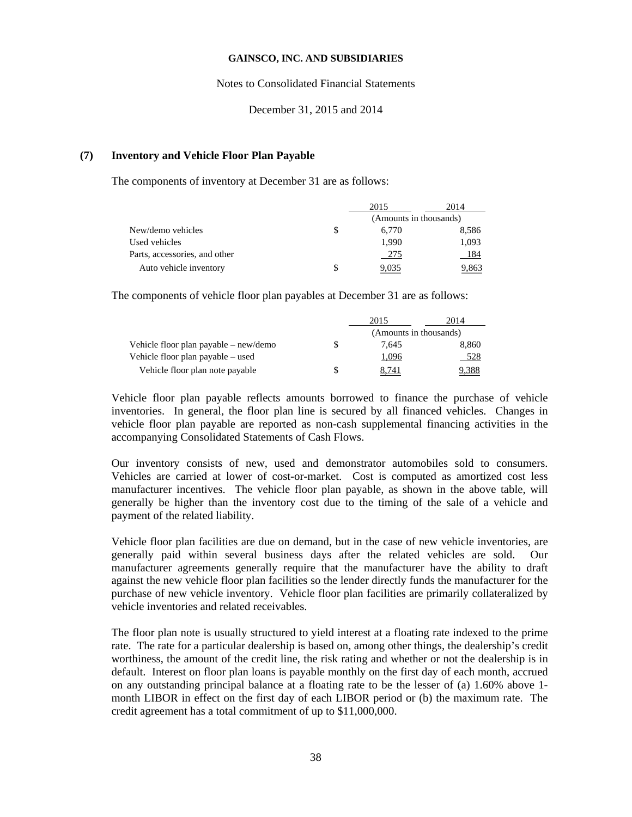Notes to Consolidated Financial Statements

December 31, 2015 and 2014

### **(7) Inventory and Vehicle Floor Plan Payable**

The components of inventory at December 31 are as follows:

|                               | 2015                   | 2014  |
|-------------------------------|------------------------|-------|
|                               | (Amounts in thousands) |       |
| New/demo vehicles             | 6.770                  | 8,586 |
| Used vehicles                 | 1.990                  | 1,093 |
| Parts, accessories, and other | 275                    | 184   |
| Auto vehicle inventory        | 9,035                  | 9.863 |

The components of vehicle floor plan payables at December 31 are as follows:

|                                       |                        | 2015  | 2014  |  |
|---------------------------------------|------------------------|-------|-------|--|
|                                       | (Amounts in thousands) |       |       |  |
| Vehicle floor plan payable – new/demo |                        | 7.645 | 8,860 |  |
| Vehicle floor plan payable – used     |                        | 1,096 | 528   |  |
| Vehicle floor plan note payable       |                        | 8,741 | .388  |  |

Vehicle floor plan payable reflects amounts borrowed to finance the purchase of vehicle inventories. In general, the floor plan line is secured by all financed vehicles. Changes in vehicle floor plan payable are reported as non-cash supplemental financing activities in the accompanying Consolidated Statements of Cash Flows.

Our inventory consists of new, used and demonstrator automobiles sold to consumers. Vehicles are carried at lower of cost-or-market. Cost is computed as amortized cost less manufacturer incentives. The vehicle floor plan payable, as shown in the above table, will generally be higher than the inventory cost due to the timing of the sale of a vehicle and payment of the related liability.

Vehicle floor plan facilities are due on demand, but in the case of new vehicle inventories, are generally paid within several business days after the related vehicles are sold. Our manufacturer agreements generally require that the manufacturer have the ability to draft against the new vehicle floor plan facilities so the lender directly funds the manufacturer for the purchase of new vehicle inventory. Vehicle floor plan facilities are primarily collateralized by vehicle inventories and related receivables.

The floor plan note is usually structured to yield interest at a floating rate indexed to the prime rate. The rate for a particular dealership is based on, among other things, the dealership's credit worthiness, the amount of the credit line, the risk rating and whether or not the dealership is in default. Interest on floor plan loans is payable monthly on the first day of each month, accrued on any outstanding principal balance at a floating rate to be the lesser of (a) 1.60% above 1 month LIBOR in effect on the first day of each LIBOR period or (b) the maximum rate. The credit agreement has a total commitment of up to \$11,000,000.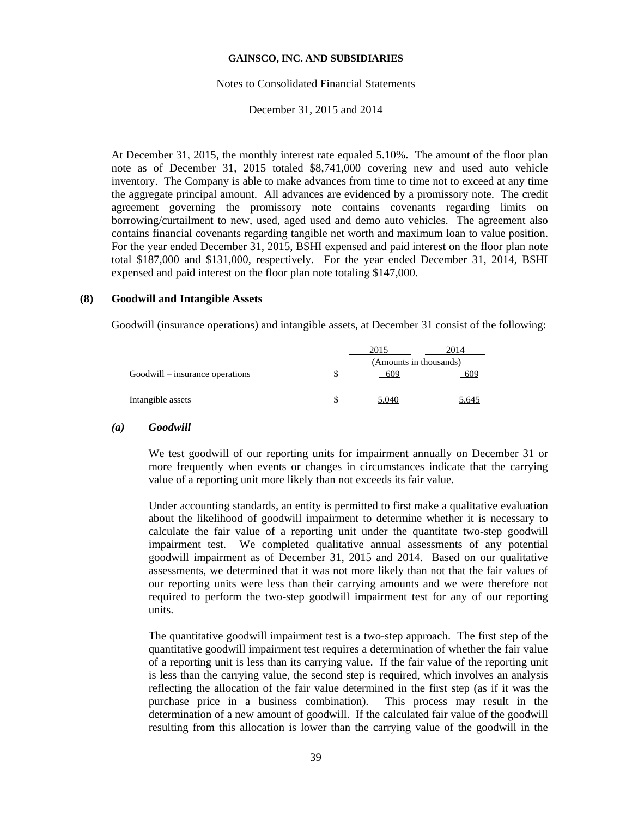#### Notes to Consolidated Financial Statements

### December 31, 2015 and 2014

At December 31, 2015, the monthly interest rate equaled 5.10%. The amount of the floor plan note as of December 31, 2015 totaled \$8,741,000 covering new and used auto vehicle inventory. The Company is able to make advances from time to time not to exceed at any time the aggregate principal amount. All advances are evidenced by a promissory note. The credit agreement governing the promissory note contains covenants regarding limits on borrowing/curtailment to new, used, aged used and demo auto vehicles. The agreement also contains financial covenants regarding tangible net worth and maximum loan to value position. For the year ended December 31, 2015, BSHI expensed and paid interest on the floor plan note total \$187,000 and \$131,000, respectively. For the year ended December 31, 2014, BSHI expensed and paid interest on the floor plan note totaling \$147,000.

#### **(8) Goodwill and Intangible Assets**

Goodwill (insurance operations) and intangible assets, at December 31 consist of the following:

|                                 | 2015                   | 2014  |
|---------------------------------|------------------------|-------|
|                                 | (Amounts in thousands) |       |
| Goodwill – insurance operations | 609                    | 609   |
| Intangible assets               | 5.040                  | 5,645 |

#### *(a) Goodwill*

We test goodwill of our reporting units for impairment annually on December 31 or more frequently when events or changes in circumstances indicate that the carrying value of a reporting unit more likely than not exceeds its fair value.

Under accounting standards, an entity is permitted to first make a qualitative evaluation about the likelihood of goodwill impairment to determine whether it is necessary to calculate the fair value of a reporting unit under the quantitate two-step goodwill impairment test. We completed qualitative annual assessments of any potential goodwill impairment as of December 31, 2015 and 2014. Based on our qualitative assessments, we determined that it was not more likely than not that the fair values of our reporting units were less than their carrying amounts and we were therefore not required to perform the two-step goodwill impairment test for any of our reporting units.

The quantitative goodwill impairment test is a two-step approach. The first step of the quantitative goodwill impairment test requires a determination of whether the fair value of a reporting unit is less than its carrying value. If the fair value of the reporting unit is less than the carrying value, the second step is required, which involves an analysis reflecting the allocation of the fair value determined in the first step (as if it was the purchase price in a business combination). This process may result in the determination of a new amount of goodwill. If the calculated fair value of the goodwill resulting from this allocation is lower than the carrying value of the goodwill in the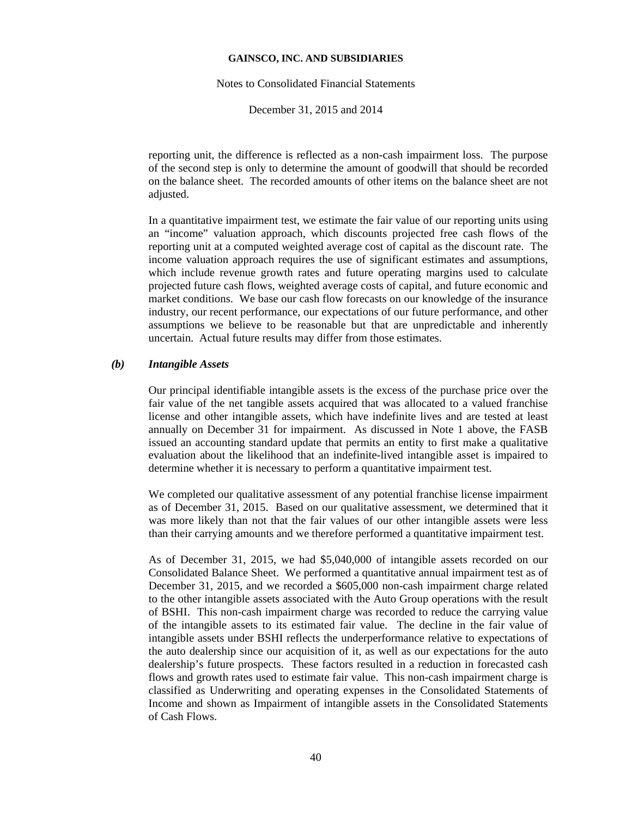#### Notes to Consolidated Financial Statements

December 31, 2015 and 2014

reporting unit, the difference is reflected as a non-cash impairment loss. The purpose of the second step is only to determine the amount of goodwill that should be recorded on the balance sheet. The recorded amounts of other items on the balance sheet are not adjusted.

In a quantitative impairment test, we estimate the fair value of our reporting units using an "income" valuation approach, which discounts projected free cash flows of the reporting unit at a computed weighted average cost of capital as the discount rate. The income valuation approach requires the use of significant estimates and assumptions, which include revenue growth rates and future operating margins used to calculate projected future cash flows, weighted average costs of capital, and future economic and market conditions. We base our cash flow forecasts on our knowledge of the insurance industry, our recent performance, our expectations of our future performance, and other assumptions we believe to be reasonable but that are unpredictable and inherently uncertain. Actual future results may differ from those estimates.

# *(b) Intangible Assets*

Our principal identifiable intangible assets is the excess of the purchase price over the fair value of the net tangible assets acquired that was allocated to a valued franchise license and other intangible assets, which have indefinite lives and are tested at least annually on December 31 for impairment. As discussed in Note 1 above, the FASB issued an accounting standard update that permits an entity to first make a qualitative evaluation about the likelihood that an indefinite-lived intangible asset is impaired to determine whether it is necessary to perform a quantitative impairment test.

We completed our qualitative assessment of any potential franchise license impairment as of December 31, 2015. Based on our qualitative assessment, we determined that it was more likely than not that the fair values of our other intangible assets were less than their carrying amounts and we therefore performed a quantitative impairment test.

As of December 31, 2015, we had \$5,040,000 of intangible assets recorded on our Consolidated Balance Sheet. We performed a quantitative annual impairment test as of December 31, 2015, and we recorded a \$605,000 non-cash impairment charge related to the other intangible assets associated with the Auto Group operations with the result of BSHI. This non-cash impairment charge was recorded to reduce the carrying value of the intangible assets to its estimated fair value. The decline in the fair value of intangible assets under BSHI reflects the underperformance relative to expectations of the auto dealership since our acquisition of it, as well as our expectations for the auto dealership's future prospects. These factors resulted in a reduction in forecasted cash flows and growth rates used to estimate fair value. This non-cash impairment charge is classified as Underwriting and operating expenses in the Consolidated Statements of Income and shown as Impairment of intangible assets in the Consolidated Statements of Cash Flows.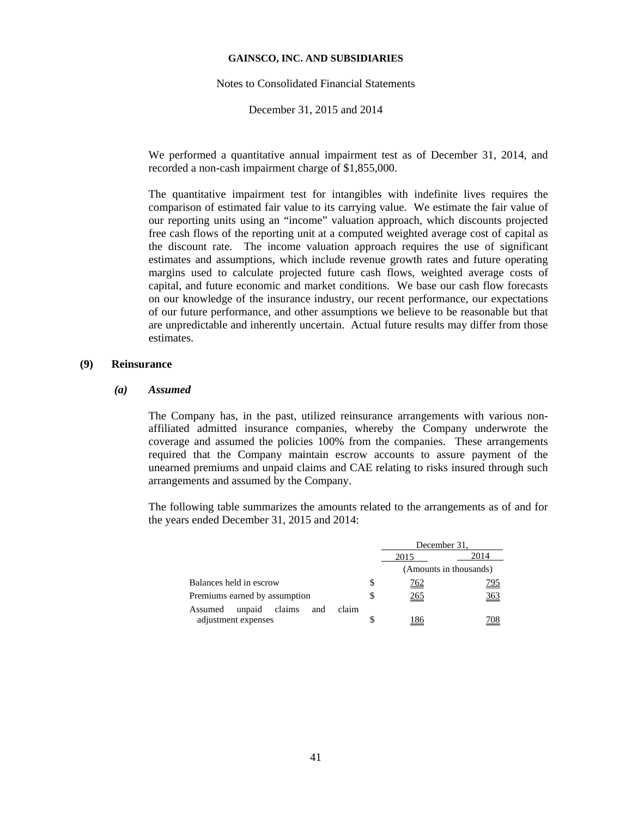Notes to Consolidated Financial Statements

December 31, 2015 and 2014

We performed a quantitative annual impairment test as of December 31, 2014, and recorded a non-cash impairment charge of \$1,855,000.

The quantitative impairment test for intangibles with indefinite lives requires the comparison of estimated fair value to its carrying value. We estimate the fair value of our reporting units using an "income" valuation approach, which discounts projected free cash flows of the reporting unit at a computed weighted average cost of capital as the discount rate. The income valuation approach requires the use of significant estimates and assumptions, which include revenue growth rates and future operating margins used to calculate projected future cash flows, weighted average costs of capital, and future economic and market conditions. We base our cash flow forecasts on our knowledge of the insurance industry, our recent performance, our expectations of our future performance, and other assumptions we believe to be reasonable but that are unpredictable and inherently uncertain. Actual future results may differ from those estimates.

# **(9) Reinsurance**

#### *(a) Assumed*

The Company has, in the past, utilized reinsurance arrangements with various nonaffiliated admitted insurance companies, whereby the Company underwrote the coverage and assumed the policies 100% from the companies. These arrangements required that the Company maintain escrow accounts to assure payment of the unearned premiums and unpaid claims and CAE relating to risks insured through such arrangements and assumed by the Company.

The following table summarizes the amounts related to the arrangements as of and for the years ended December 31, 2015 and 2014:

|                                             |    | December 31.                   |               |  |
|---------------------------------------------|----|--------------------------------|---------------|--|
|                                             |    | 2014                           |               |  |
|                                             |    | 2015<br>(Amounts in thousands) |               |  |
| Balances held in escrow                     | \$ | <u>762</u>                     | <u>795</u>    |  |
| Premiums earned by assumption               |    | 265                            | $rac{363}{1}$ |  |
| claim<br>claims<br>unpaid<br>Assumed<br>and |    |                                |               |  |
| adjustment expenses                         |    | 186                            | 708           |  |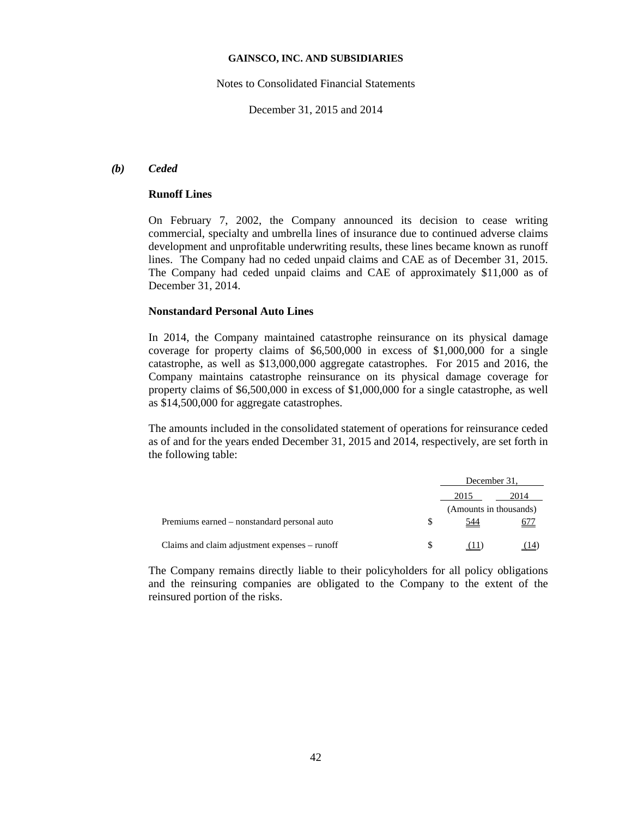Notes to Consolidated Financial Statements

December 31, 2015 and 2014

## *(b) Ceded*

# **Runoff Lines**

On February 7, 2002, the Company announced its decision to cease writing commercial, specialty and umbrella lines of insurance due to continued adverse claims development and unprofitable underwriting results, these lines became known as runoff lines. The Company had no ceded unpaid claims and CAE as of December 31, 2015. The Company had ceded unpaid claims and CAE of approximately \$11,000 as of December 31, 2014.

#### **Nonstandard Personal Auto Lines**

In 2014, the Company maintained catastrophe reinsurance on its physical damage coverage for property claims of \$6,500,000 in excess of \$1,000,000 for a single catastrophe, as well as \$13,000,000 aggregate catastrophes. For 2015 and 2016, the Company maintains catastrophe reinsurance on its physical damage coverage for property claims of \$6,500,000 in excess of \$1,000,000 for a single catastrophe, as well as \$14,500,000 for aggregate catastrophes.

The amounts included in the consolidated statement of operations for reinsurance ceded as of and for the years ended December 31, 2015 and 2014, respectively, are set forth in the following table:

|                                               | December 31,           |      |
|-----------------------------------------------|------------------------|------|
|                                               | 2015                   | 2014 |
|                                               | (Amounts in thousands) |      |
| Premiums earned – nonstandard personal auto   | 544                    | 677  |
| Claims and claim adjustment expenses – runoff |                        |      |

The Company remains directly liable to their policyholders for all policy obligations and the reinsuring companies are obligated to the Company to the extent of the reinsured portion of the risks.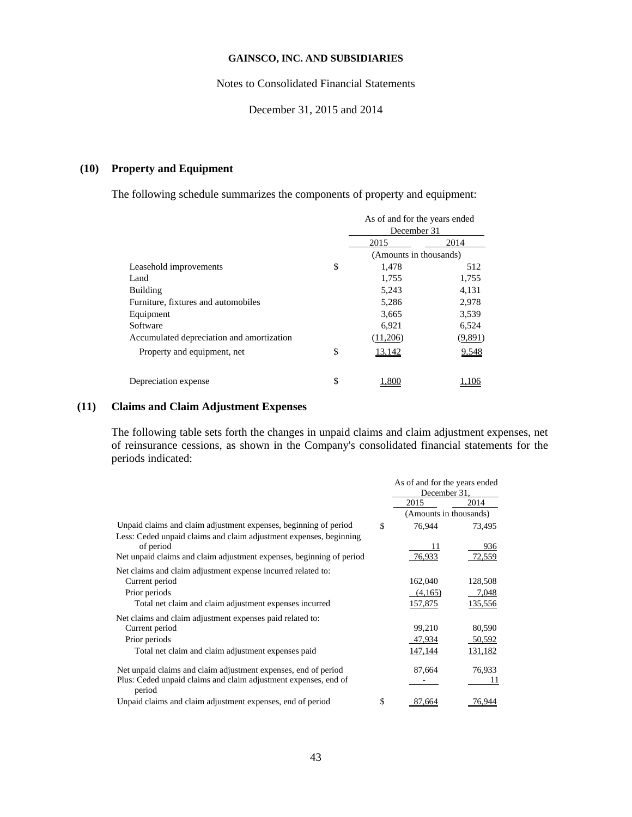Notes to Consolidated Financial Statements

December 31, 2015 and 2014

# **(10) Property and Equipment**

The following schedule summarizes the components of property and equipment:

|                                           |    | As of and for the years ended<br>December 31 |         |
|-------------------------------------------|----|----------------------------------------------|---------|
|                                           |    | 2015                                         | 2014    |
|                                           |    | (Amounts in thousands)                       |         |
| Leasehold improvements                    | S  | 1,478                                        | 512     |
| Land                                      |    | 1,755                                        | 1,755   |
| <b>Building</b>                           |    | 5,243                                        | 4,131   |
| Furniture, fixtures and automobiles       |    | 5,286                                        | 2,978   |
| Equipment                                 |    | 3,665                                        | 3,539   |
| Software                                  |    | 6,921                                        | 6,524   |
| Accumulated depreciation and amortization |    | (11,206)                                     | (9,891) |
| Property and equipment, net               | \$ | 13,142                                       | 9,548   |
| Depreciation expense                      | \$ | .80                                          |         |

# **(11) Claims and Claim Adjustment Expenses**

The following table sets forth the changes in unpaid claims and claim adjustment expenses, net of reinsurance cessions, as shown in the Company's consolidated financial statements for the periods indicated:

|                                                                                                                                        | As of and for the years ended<br>December 31, |         |
|----------------------------------------------------------------------------------------------------------------------------------------|-----------------------------------------------|---------|
|                                                                                                                                        | 2015                                          | 2014    |
|                                                                                                                                        | (Amounts in thousands)                        |         |
| Unpaid claims and claim adjustment expenses, beginning of period<br>Less: Ceded unpaid claims and claim adjustment expenses, beginning | \$<br>76,944                                  | 73,495  |
| of period                                                                                                                              |                                               | 936     |
| Net unpaid claims and claim adjustment expenses, beginning of period                                                                   | 76,933                                        | 72,559  |
| Net claims and claim adjustment expense incurred related to:                                                                           |                                               |         |
| Current period                                                                                                                         | 162,040                                       | 128,508 |
| Prior periods                                                                                                                          | (4,165)                                       | 7,048   |
| Total net claim and claim adjustment expenses incurred                                                                                 | 157,875                                       | 135,556 |
| Net claims and claim adjustment expenses paid related to:                                                                              |                                               |         |
| Current period                                                                                                                         | 99,210                                        | 80,590  |
| Prior periods                                                                                                                          | 47,934                                        | 50,592  |
| Total net claim and claim adjustment expenses paid                                                                                     | 147,144                                       | 131,182 |
| Net unpaid claims and claim adjustment expenses, end of period                                                                         | 87,664                                        | 76,933  |
| Plus: Ceded unpaid claims and claim adjustment expenses, end of<br>period                                                              |                                               | 11      |
| Unpaid claims and claim adjustment expenses, end of period                                                                             | \$<br>87.664                                  | 76.944  |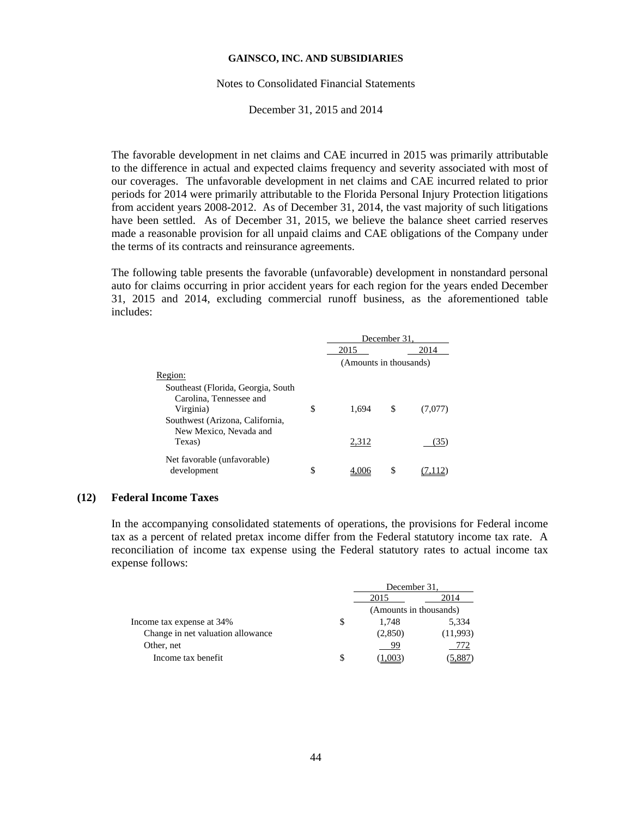#### Notes to Consolidated Financial Statements

December 31, 2015 and 2014

The favorable development in net claims and CAE incurred in 2015 was primarily attributable to the difference in actual and expected claims frequency and severity associated with most of our coverages. The unfavorable development in net claims and CAE incurred related to prior periods for 2014 were primarily attributable to the Florida Personal Injury Protection litigations from accident years 2008-2012. As of December 31, 2014, the vast majority of such litigations have been settled. As of December 31, 2015, we believe the balance sheet carried reserves made a reasonable provision for all unpaid claims and CAE obligations of the Company under the terms of its contracts and reinsurance agreements.

The following table presents the favorable (unfavorable) development in nonstandard personal auto for claims occurring in prior accident years for each region for the years ended December 31, 2015 and 2014, excluding commercial runoff business, as the aforementioned table includes:

|                                    |    | December 31.           |    |         |
|------------------------------------|----|------------------------|----|---------|
|                                    |    | 2015                   |    | 2014    |
|                                    |    | (Amounts in thousands) |    |         |
| Region:                            |    |                        |    |         |
| Southeast (Florida, Georgia, South |    |                        |    |         |
| Carolina, Tennessee and            |    |                        |    |         |
| Virginia)                          | \$ | 1.694                  | \$ | (7,077) |
| Southwest (Arizona, California,    |    |                        |    |         |
| New Mexico, Nevada and             |    |                        |    |         |
| Texas)                             |    | 2,312                  |    | 35      |
| Net favorable (unfavorable)        |    |                        |    |         |
| development                        | S  |                        | S  |         |

#### **(12) Federal Income Taxes**

In the accompanying consolidated statements of operations, the provisions for Federal income tax as a percent of related pretax income differ from the Federal statutory income tax rate. A reconciliation of income tax expense using the Federal statutory rates to actual income tax expense follows:

|                                   |      | December 31.           |          |  |
|-----------------------------------|------|------------------------|----------|--|
|                                   | 2015 |                        | 2014     |  |
|                                   |      | (Amounts in thousands) |          |  |
| Income tax expense at 34%         | S    | 1.748                  | 5,334    |  |
| Change in net valuation allowance |      | (2,850)                | (11,993) |  |
| Other, net                        |      | 99                     | 772      |  |
| Income tax benefit                | \$   |                        |          |  |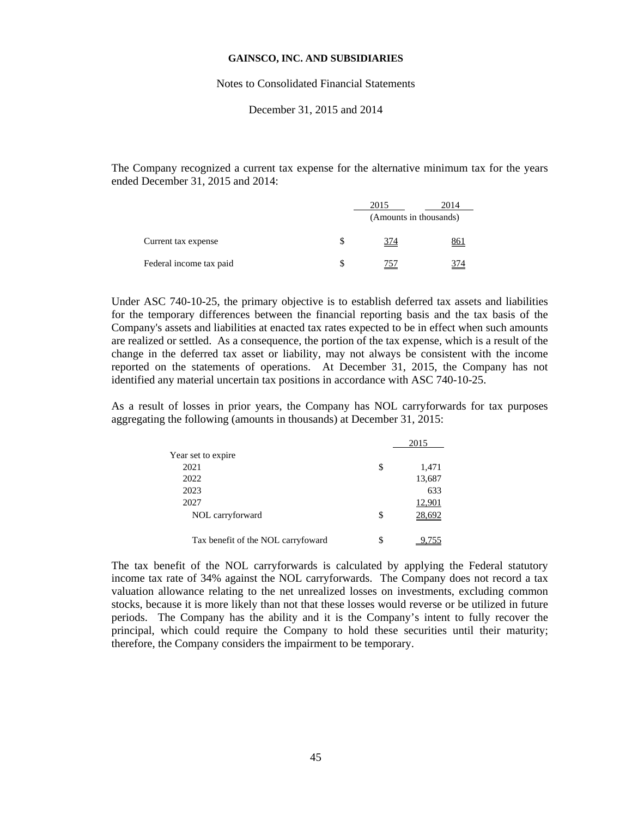#### Notes to Consolidated Financial Statements

December 31, 2015 and 2014

The Company recognized a current tax expense for the alternative minimum tax for the years ended December 31, 2015 and 2014:

|                         | 2015       | 2014                   |
|-------------------------|------------|------------------------|
|                         |            | (Amounts in thousands) |
| Current tax expense     | <u>374</u> | <u>861</u>             |
| Federal income tax paid | 757        | 374                    |

Under ASC 740-10-25, the primary objective is to establish deferred tax assets and liabilities for the temporary differences between the financial reporting basis and the tax basis of the Company's assets and liabilities at enacted tax rates expected to be in effect when such amounts are realized or settled. As a consequence, the portion of the tax expense, which is a result of the change in the deferred tax asset or liability, may not always be consistent with the income reported on the statements of operations. At December 31, 2015, the Company has not identified any material uncertain tax positions in accordance with ASC 740-10-25.

As a result of losses in prior years, the Company has NOL carryforwards for tax purposes aggregating the following (amounts in thousands) at December 31, 2015:

|                                    |    | 2015   |
|------------------------------------|----|--------|
| Year set to expire                 |    |        |
| 2021                               | \$ | 1,471  |
| 2022                               |    | 13,687 |
| 2023                               |    | 633    |
| 2027                               |    | 12,901 |
| NOL carryforward                   | \$ |        |
|                                    |    |        |
| Tax benefit of the NOL carryfoward | S  |        |

The tax benefit of the NOL carryforwards is calculated by applying the Federal statutory income tax rate of 34% against the NOL carryforwards. The Company does not record a tax valuation allowance relating to the net unrealized losses on investments, excluding common stocks, because it is more likely than not that these losses would reverse or be utilized in future periods. The Company has the ability and it is the Company's intent to fully recover the principal, which could require the Company to hold these securities until their maturity; therefore, the Company considers the impairment to be temporary.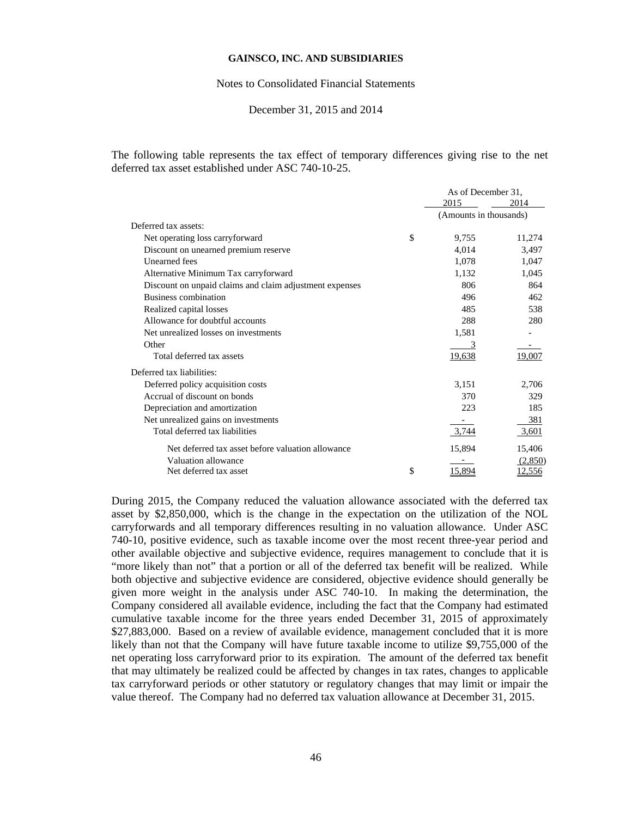#### Notes to Consolidated Financial Statements

### December 31, 2015 and 2014

The following table represents the tax effect of temporary differences giving rise to the net deferred tax asset established under ASC 740-10-25.

|                                                         | As of December 31,     |               |
|---------------------------------------------------------|------------------------|---------------|
|                                                         | 2015                   | 2014          |
|                                                         | (Amounts in thousands) |               |
| Deferred tax assets:                                    |                        |               |
| Net operating loss carryforward                         | \$<br>9,755            | 11,274        |
| Discount on unearned premium reserve                    | 4,014                  | 3,497         |
| <b>Unearned</b> fees                                    | 1,078                  | 1,047         |
| Alternative Minimum Tax carryforward                    | 1.132                  | 1,045         |
| Discount on unpaid claims and claim adjustment expenses | 806                    | 864           |
| Business combination                                    | 496                    | 462           |
| Realized capital losses                                 | 485                    | 538           |
| Allowance for doubtful accounts                         | 288                    | 280           |
| Net unrealized losses on investments                    | 1,581                  |               |
| Other                                                   | 3                      |               |
| Total deferred tax assets                               | 19,638                 | 19,007        |
| Deferred tax liabilities:                               |                        |               |
| Deferred policy acquisition costs                       | 3,151                  | 2,706         |
| Accrual of discount on bonds                            | 370                    | 329           |
| Depreciation and amortization                           | 223                    | 185           |
| Net unrealized gains on investments                     |                        | 381           |
| Total deferred tax liabilities                          | 3,744                  | 3,601         |
| Net deferred tax asset before valuation allowance       | 15,894                 | 15,406        |
| Valuation allowance                                     |                        | (2,850)       |
| Net deferred tax asset                                  | \$<br>15.894           | <u>12,556</u> |

During 2015, the Company reduced the valuation allowance associated with the deferred tax asset by \$2,850,000, which is the change in the expectation on the utilization of the NOL carryforwards and all temporary differences resulting in no valuation allowance. Under ASC 740-10, positive evidence, such as taxable income over the most recent three-year period and other available objective and subjective evidence, requires management to conclude that it is "more likely than not" that a portion or all of the deferred tax benefit will be realized. While both objective and subjective evidence are considered, objective evidence should generally be given more weight in the analysis under ASC 740-10. In making the determination, the Company considered all available evidence, including the fact that the Company had estimated cumulative taxable income for the three years ended December 31, 2015 of approximately \$27,883,000. Based on a review of available evidence, management concluded that it is more likely than not that the Company will have future taxable income to utilize \$9,755,000 of the net operating loss carryforward prior to its expiration. The amount of the deferred tax benefit that may ultimately be realized could be affected by changes in tax rates, changes to applicable tax carryforward periods or other statutory or regulatory changes that may limit or impair the value thereof. The Company had no deferred tax valuation allowance at December 31, 2015.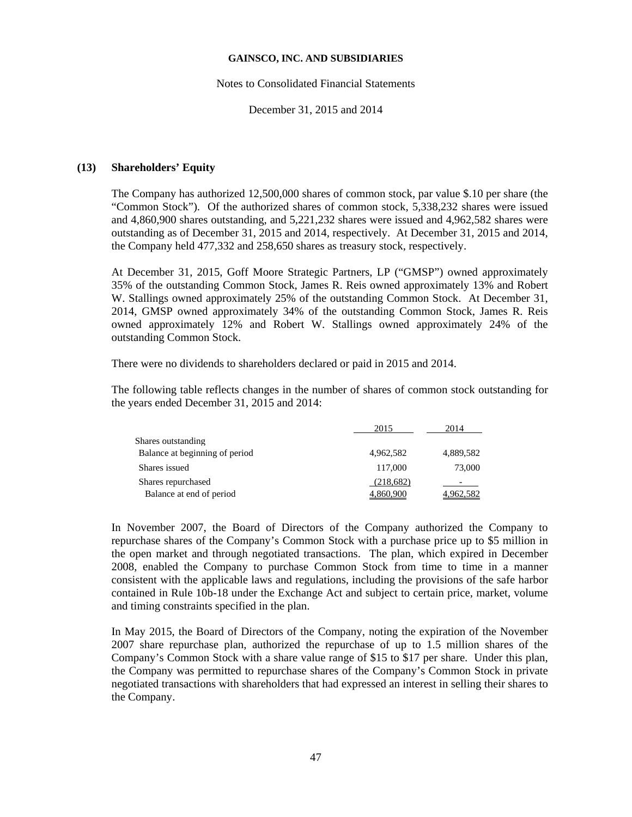#### Notes to Consolidated Financial Statements

December 31, 2015 and 2014

## **(13) Shareholders' Equity**

The Company has authorized 12,500,000 shares of common stock, par value \$.10 per share (the "Common Stock"). Of the authorized shares of common stock, 5,338,232 shares were issued and 4,860,900 shares outstanding, and 5,221,232 shares were issued and 4,962,582 shares were outstanding as of December 31, 2015 and 2014, respectively. At December 31, 2015 and 2014, the Company held 477,332 and 258,650 shares as treasury stock, respectively.

At December 31, 2015, Goff Moore Strategic Partners, LP ("GMSP") owned approximately 35% of the outstanding Common Stock, James R. Reis owned approximately 13% and Robert W. Stallings owned approximately 25% of the outstanding Common Stock. At December 31, 2014, GMSP owned approximately 34% of the outstanding Common Stock, James R. Reis owned approximately 12% and Robert W. Stallings owned approximately 24% of the outstanding Common Stock.

There were no dividends to shareholders declared or paid in 2015 and 2014.

The following table reflects changes in the number of shares of common stock outstanding for the years ended December 31, 2015 and 2014:

|                                | 2015             | 2014      |
|--------------------------------|------------------|-----------|
| Shares outstanding             |                  |           |
| Balance at beginning of period | 4,962,582        | 4,889,582 |
| Shares issued                  | 117,000          | 73,000    |
| Shares repurchased             | (218,682)        |           |
| Balance at end of period       | <u>4,860,900</u> | 4,962,582 |

In November 2007, the Board of Directors of the Company authorized the Company to repurchase shares of the Company's Common Stock with a purchase price up to \$5 million in the open market and through negotiated transactions. The plan, which expired in December 2008, enabled the Company to purchase Common Stock from time to time in a manner consistent with the applicable laws and regulations, including the provisions of the safe harbor contained in Rule 10b-18 under the Exchange Act and subject to certain price, market, volume and timing constraints specified in the plan.

In May 2015, the Board of Directors of the Company, noting the expiration of the November 2007 share repurchase plan, authorized the repurchase of up to 1.5 million shares of the Company's Common Stock with a share value range of \$15 to \$17 per share. Under this plan, the Company was permitted to repurchase shares of the Company's Common Stock in private negotiated transactions with shareholders that had expressed an interest in selling their shares to the Company.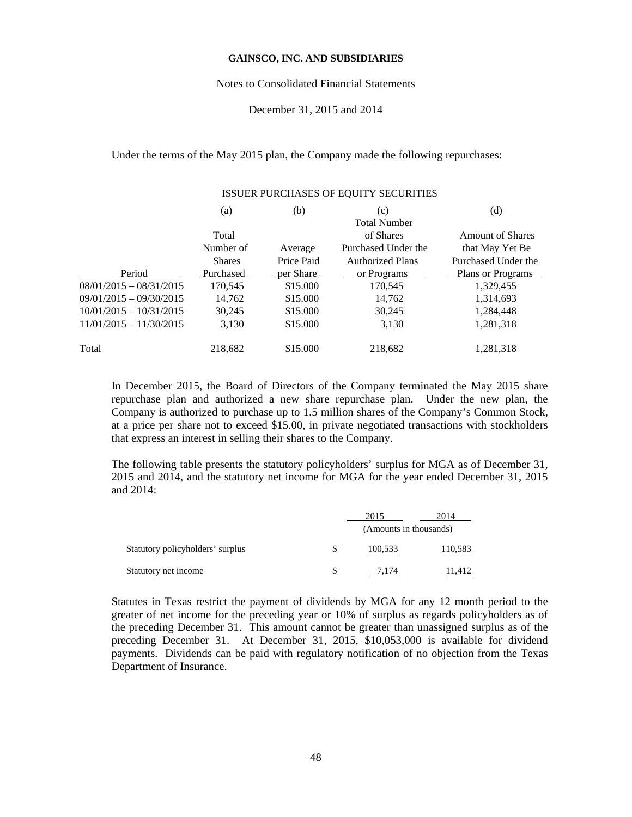#### Notes to Consolidated Financial Statements

### December 31, 2015 and 2014

Under the terms of the May 2015 plan, the Company made the following repurchases:

ISSUER PURCHASES OF EQUITY SECURITIES

| ISSUER PURCHASES OF EQUITY SECURITIES |               |            |                         |                          |  |
|---------------------------------------|---------------|------------|-------------------------|--------------------------|--|
|                                       | (a)           | (b)        | (c)                     | (d)                      |  |
|                                       |               |            | <b>Total Number</b>     |                          |  |
|                                       | Total         |            | of Shares               | <b>Amount of Shares</b>  |  |
|                                       | Number of     | Average    | Purchased Under the     | that May Yet Be          |  |
|                                       | <b>Shares</b> | Price Paid | <b>Authorized Plans</b> | Purchased Under the      |  |
| Period                                | Purchased     | per Share  | or Programs             | <b>Plans or Programs</b> |  |
| $08/01/2015 - 08/31/2015$             | 170,545       | \$15.000   | 170,545                 | 1,329,455                |  |
| $09/01/2015 - 09/30/2015$             | 14,762        | \$15.000   | 14,762                  | 1,314,693                |  |
| $10/01/2015 - 10/31/2015$             | 30.245        | \$15,000   | 30,245                  | 1,284,448                |  |
| $11/01/2015 - 11/30/2015$             | 3,130         | \$15.000   | 3,130                   | 1,281,318                |  |
| Total                                 | 218,682       | \$15,000   | 218,682                 | 1,281,318                |  |

In December 2015, the Board of Directors of the Company terminated the May 2015 share repurchase plan and authorized a new share repurchase plan. Under the new plan, the Company is authorized to purchase up to 1.5 million shares of the Company's Common Stock, at a price per share not to exceed \$15.00, in private negotiated transactions with stockholders that express an interest in selling their shares to the Company.

The following table presents the statutory policyholders' surplus for MGA as of December 31, 2015 and 2014, and the statutory net income for MGA for the year ended December 31, 2015 and 2014:

|                                  | 2015                   | 2014    |  |
|----------------------------------|------------------------|---------|--|
|                                  | (Amounts in thousands) |         |  |
| Statutory policyholders' surplus | 100,533                | 110,583 |  |
| Statutory net income             |                        |         |  |

Statutes in Texas restrict the payment of dividends by MGA for any 12 month period to the greater of net income for the preceding year or 10% of surplus as regards policyholders as of the preceding December 31. This amount cannot be greater than unassigned surplus as of the preceding December 31. At December 31, 2015, \$10,053,000 is available for dividend payments. Dividends can be paid with regulatory notification of no objection from the Texas Department of Insurance.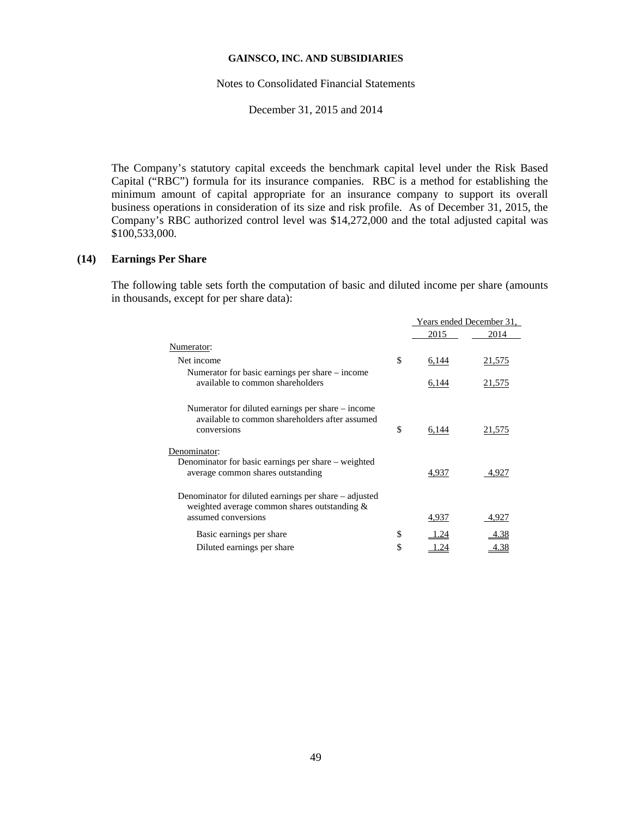Notes to Consolidated Financial Statements

December 31, 2015 and 2014

The Company's statutory capital exceeds the benchmark capital level under the Risk Based Capital ("RBC") formula for its insurance companies. RBC is a method for establishing the minimum amount of capital appropriate for an insurance company to support its overall business operations in consideration of its size and risk profile. As of December 31, 2015, the Company's RBC authorized control level was \$14,272,000 and the total adjusted capital was \$100,533,000.

# **(14) Earnings Per Share**

The following table sets forth the computation of basic and diluted income per share (amounts in thousands, except for per share data):

|                                                                                                       | Years ended December 31, |        |
|-------------------------------------------------------------------------------------------------------|--------------------------|--------|
|                                                                                                       | 2015                     | 2014   |
| Numerator:                                                                                            |                          |        |
| Net income                                                                                            | \$<br>6,144              | 21,575 |
| Numerator for basic earnings per share – income                                                       |                          |        |
| available to common shareholders                                                                      | 6,144                    | 21,575 |
|                                                                                                       |                          |        |
| Numerator for diluted earnings per share – income                                                     |                          |        |
| available to common shareholders after assumed<br>conversions                                         | \$<br>6,144              | 21,575 |
|                                                                                                       |                          |        |
| Denominator:                                                                                          |                          |        |
| Denominator for basic earnings per share – weighted                                                   |                          |        |
| average common shares outstanding                                                                     | 4,937                    | 4,927  |
|                                                                                                       |                          |        |
| Denominator for diluted earnings per share – adjusted<br>weighted average common shares outstanding & |                          |        |
| assumed conversions                                                                                   | 4,937                    | 4,927  |
|                                                                                                       |                          |        |
| Basic earnings per share                                                                              | .24                      | 4.38   |
| Diluted earnings per share                                                                            | \$<br>1.24               | 4.38   |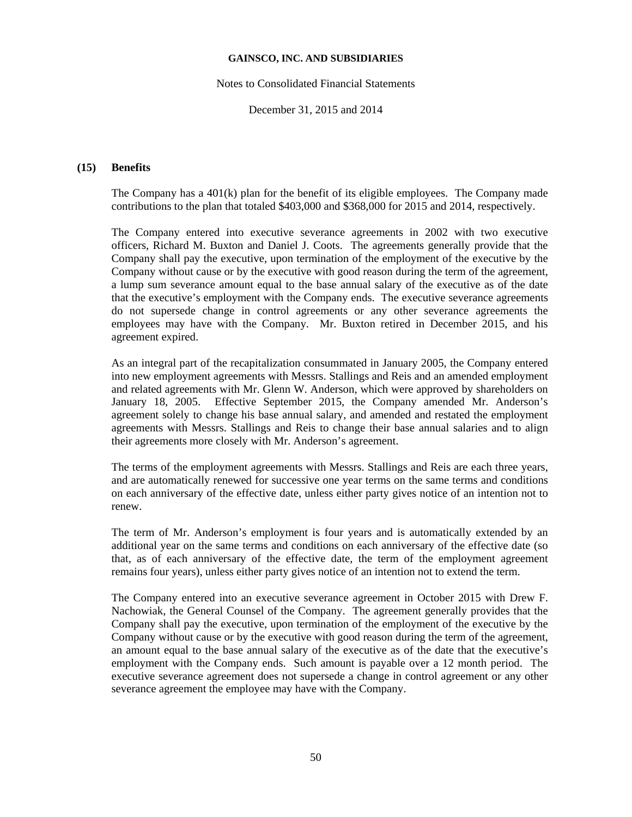Notes to Consolidated Financial Statements

December 31, 2015 and 2014

## **(15) Benefits**

The Company has a 401(k) plan for the benefit of its eligible employees. The Company made contributions to the plan that totaled \$403,000 and \$368,000 for 2015 and 2014, respectively.

The Company entered into executive severance agreements in 2002 with two executive officers, Richard M. Buxton and Daniel J. Coots. The agreements generally provide that the Company shall pay the executive, upon termination of the employment of the executive by the Company without cause or by the executive with good reason during the term of the agreement, a lump sum severance amount equal to the base annual salary of the executive as of the date that the executive's employment with the Company ends. The executive severance agreements do not supersede change in control agreements or any other severance agreements the employees may have with the Company. Mr. Buxton retired in December 2015, and his agreement expired.

As an integral part of the recapitalization consummated in January 2005, the Company entered into new employment agreements with Messrs. Stallings and Reis and an amended employment and related agreements with Mr. Glenn W. Anderson, which were approved by shareholders on January 18, 2005. Effective September 2015, the Company amended Mr. Anderson's agreement solely to change his base annual salary, and amended and restated the employment agreements with Messrs. Stallings and Reis to change their base annual salaries and to align their agreements more closely with Mr. Anderson's agreement.

The terms of the employment agreements with Messrs. Stallings and Reis are each three years, and are automatically renewed for successive one year terms on the same terms and conditions on each anniversary of the effective date, unless either party gives notice of an intention not to renew.

The term of Mr. Anderson's employment is four years and is automatically extended by an additional year on the same terms and conditions on each anniversary of the effective date (so that, as of each anniversary of the effective date, the term of the employment agreement remains four years), unless either party gives notice of an intention not to extend the term.

The Company entered into an executive severance agreement in October 2015 with Drew F. Nachowiak, the General Counsel of the Company. The agreement generally provides that the Company shall pay the executive, upon termination of the employment of the executive by the Company without cause or by the executive with good reason during the term of the agreement, an amount equal to the base annual salary of the executive as of the date that the executive's employment with the Company ends. Such amount is payable over a 12 month period. The executive severance agreement does not supersede a change in control agreement or any other severance agreement the employee may have with the Company.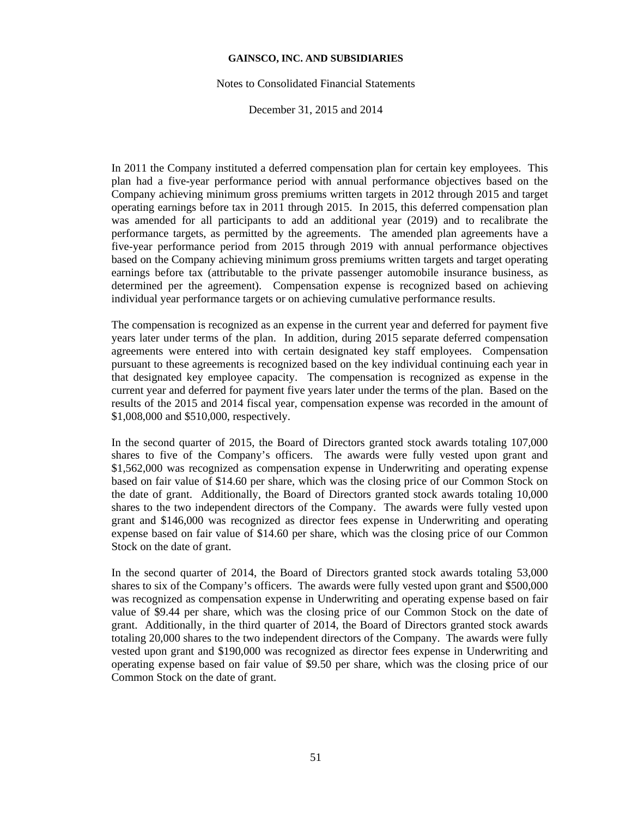#### Notes to Consolidated Financial Statements

December 31, 2015 and 2014

In 2011 the Company instituted a deferred compensation plan for certain key employees. This plan had a five-year performance period with annual performance objectives based on the Company achieving minimum gross premiums written targets in 2012 through 2015 and target operating earnings before tax in 2011 through 2015. In 2015, this deferred compensation plan was amended for all participants to add an additional year (2019) and to recalibrate the performance targets, as permitted by the agreements. The amended plan agreements have a five-year performance period from 2015 through 2019 with annual performance objectives based on the Company achieving minimum gross premiums written targets and target operating earnings before tax (attributable to the private passenger automobile insurance business, as determined per the agreement). Compensation expense is recognized based on achieving individual year performance targets or on achieving cumulative performance results.

The compensation is recognized as an expense in the current year and deferred for payment five years later under terms of the plan. In addition, during 2015 separate deferred compensation agreements were entered into with certain designated key staff employees. Compensation pursuant to these agreements is recognized based on the key individual continuing each year in that designated key employee capacity. The compensation is recognized as expense in the current year and deferred for payment five years later under the terms of the plan. Based on the results of the 2015 and 2014 fiscal year, compensation expense was recorded in the amount of \$1,008,000 and \$510,000, respectively.

In the second quarter of 2015, the Board of Directors granted stock awards totaling 107,000 shares to five of the Company's officers. The awards were fully vested upon grant and \$1,562,000 was recognized as compensation expense in Underwriting and operating expense based on fair value of \$14.60 per share, which was the closing price of our Common Stock on the date of grant. Additionally, the Board of Directors granted stock awards totaling 10,000 shares to the two independent directors of the Company. The awards were fully vested upon grant and \$146,000 was recognized as director fees expense in Underwriting and operating expense based on fair value of \$14.60 per share, which was the closing price of our Common Stock on the date of grant.

In the second quarter of 2014, the Board of Directors granted stock awards totaling 53,000 shares to six of the Company's officers. The awards were fully vested upon grant and \$500,000 was recognized as compensation expense in Underwriting and operating expense based on fair value of \$9.44 per share, which was the closing price of our Common Stock on the date of grant. Additionally, in the third quarter of 2014, the Board of Directors granted stock awards totaling 20,000 shares to the two independent directors of the Company. The awards were fully vested upon grant and \$190,000 was recognized as director fees expense in Underwriting and operating expense based on fair value of \$9.50 per share, which was the closing price of our Common Stock on the date of grant.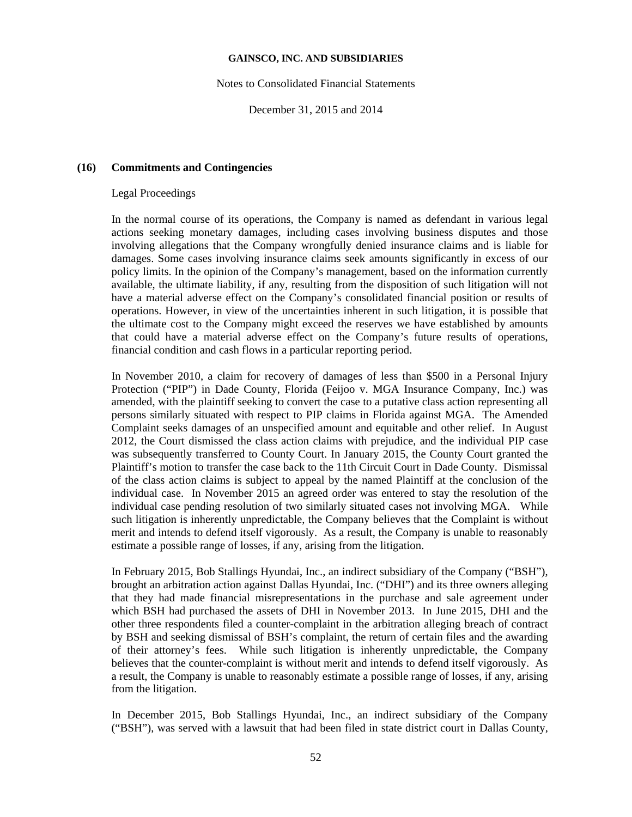Notes to Consolidated Financial Statements

December 31, 2015 and 2014

## **(16) Commitments and Contingencies**

## Legal Proceedings

In the normal course of its operations, the Company is named as defendant in various legal actions seeking monetary damages, including cases involving business disputes and those involving allegations that the Company wrongfully denied insurance claims and is liable for damages. Some cases involving insurance claims seek amounts significantly in excess of our policy limits. In the opinion of the Company's management, based on the information currently available, the ultimate liability, if any, resulting from the disposition of such litigation will not have a material adverse effect on the Company's consolidated financial position or results of operations. However, in view of the uncertainties inherent in such litigation, it is possible that the ultimate cost to the Company might exceed the reserves we have established by amounts that could have a material adverse effect on the Company's future results of operations, financial condition and cash flows in a particular reporting period.

In November 2010, a claim for recovery of damages of less than \$500 in a Personal Injury Protection ("PIP") in Dade County, Florida (Feijoo v. MGA Insurance Company, Inc.) was amended, with the plaintiff seeking to convert the case to a putative class action representing all persons similarly situated with respect to PIP claims in Florida against MGA. The Amended Complaint seeks damages of an unspecified amount and equitable and other relief. In August 2012, the Court dismissed the class action claims with prejudice, and the individual PIP case was subsequently transferred to County Court. In January 2015, the County Court granted the Plaintiff's motion to transfer the case back to the 11th Circuit Court in Dade County. Dismissal of the class action claims is subject to appeal by the named Plaintiff at the conclusion of the individual case. In November 2015 an agreed order was entered to stay the resolution of the individual case pending resolution of two similarly situated cases not involving MGA. While such litigation is inherently unpredictable, the Company believes that the Complaint is without merit and intends to defend itself vigorously. As a result, the Company is unable to reasonably estimate a possible range of losses, if any, arising from the litigation.

In February 2015, Bob Stallings Hyundai, Inc., an indirect subsidiary of the Company ("BSH"), brought an arbitration action against Dallas Hyundai, Inc. ("DHI") and its three owners alleging that they had made financial misrepresentations in the purchase and sale agreement under which BSH had purchased the assets of DHI in November 2013. In June 2015, DHI and the other three respondents filed a counter-complaint in the arbitration alleging breach of contract by BSH and seeking dismissal of BSH's complaint, the return of certain files and the awarding of their attorney's fees. While such litigation is inherently unpredictable, the Company believes that the counter-complaint is without merit and intends to defend itself vigorously. As a result, the Company is unable to reasonably estimate a possible range of losses, if any, arising from the litigation.

In December 2015, Bob Stallings Hyundai, Inc., an indirect subsidiary of the Company ("BSH"), was served with a lawsuit that had been filed in state district court in Dallas County,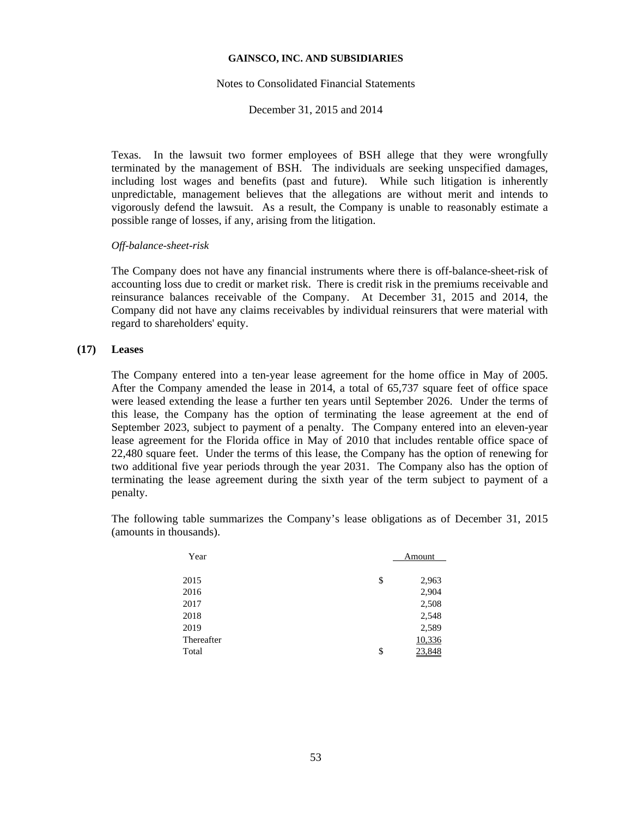#### Notes to Consolidated Financial Statements

December 31, 2015 and 2014

Texas. In the lawsuit two former employees of BSH allege that they were wrongfully terminated by the management of BSH. The individuals are seeking unspecified damages, including lost wages and benefits (past and future). While such litigation is inherently unpredictable, management believes that the allegations are without merit and intends to vigorously defend the lawsuit. As a result, the Company is unable to reasonably estimate a possible range of losses, if any, arising from the litigation.

### *Off-balance-sheet-risk*

The Company does not have any financial instruments where there is off-balance-sheet-risk of accounting loss due to credit or market risk. There is credit risk in the premiums receivable and reinsurance balances receivable of the Company. At December 31, 2015 and 2014, the Company did not have any claims receivables by individual reinsurers that were material with regard to shareholders' equity.

## **(17) Leases**

The Company entered into a ten-year lease agreement for the home office in May of 2005. After the Company amended the lease in 2014, a total of 65,737 square feet of office space were leased extending the lease a further ten years until September 2026. Under the terms of this lease, the Company has the option of terminating the lease agreement at the end of September 2023, subject to payment of a penalty. The Company entered into an eleven-year lease agreement for the Florida office in May of 2010 that includes rentable office space of 22,480 square feet. Under the terms of this lease, the Company has the option of renewing for two additional five year periods through the year 2031. The Company also has the option of terminating the lease agreement during the sixth year of the term subject to payment of a penalty.

The following table summarizes the Company's lease obligations as of December 31, 2015 (amounts in thousands).

| Year       | Amount      |
|------------|-------------|
|            |             |
| 2015       | \$<br>2,963 |
| 2016       | 2,904       |
| 2017       | 2,508       |
| 2018       | 2,548       |
| 2019       | 2,589       |
| Thereafter | 10,336      |
| Total      | \$          |